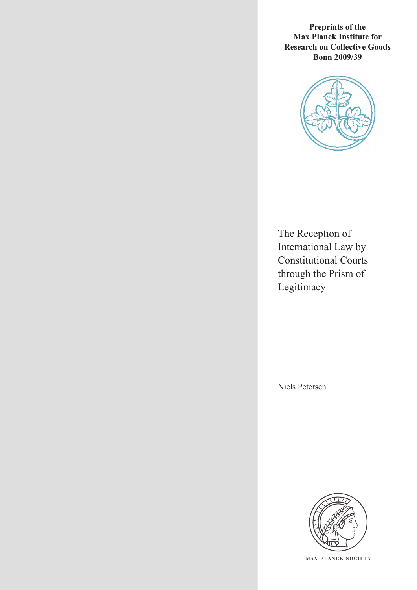**Preprints of the Max Planck Institute for Research on Collective Goods Bonn 2009/39**



The Reception of International Law by Constitutional Courts through the Prism of Legitimacy

Niels Petersen



**M AX P L A N C K S O C I E T Y**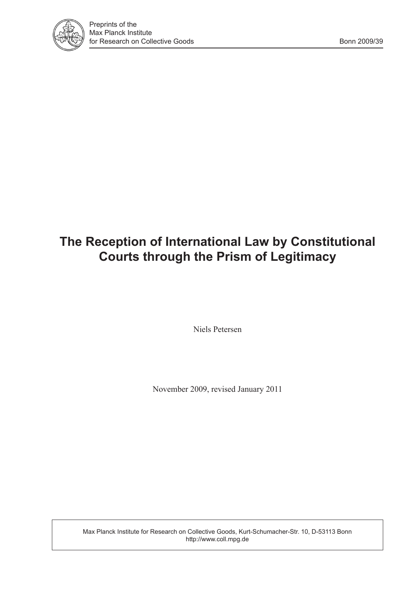

# **The Reception of International Law by Constitutional Courts through the Prism of Legitimacy**

Niels Petersen

November 2009, revised January 2011

Max Planck Institute for Research on Collective Goods, Kurt-Schumacher-Str. 10, D-53113 Bonn http://www.coll.mpg.de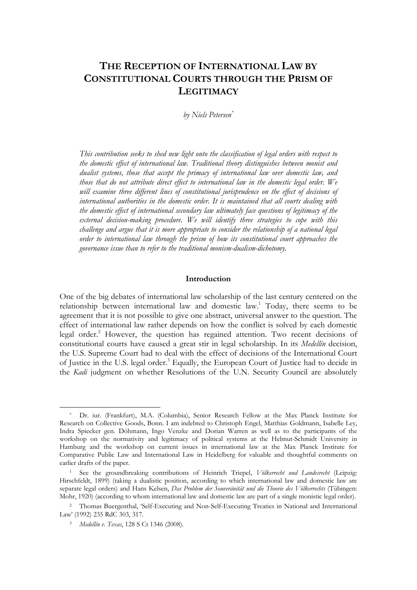# **THE RECEPTION OF INTERNATIONAL LAW BY CONSTITUTIONAL COURTS THROUGH THE PRISM OF LEGITIMACY**

*by Niels Petersen\**

*This contribution seeks to shed new light onto the classification of legal orders with respect to the domestic effect of international law. Traditional theory distinguishes between monist and dualist systems, those that accept the primacy of international law over domestic law, and those that do not attribute direct effect to international law in the domestic legal order. We*  will examine three different lines of constitutional jurisprudence on the effect of decisions of *international authorities in the domestic order. It is maintained that all courts dealing with the domestic effect of international secondary law ultimately face questions of legitimacy of the external decision-making procedure. We will identify three strategies to cope with this challenge and argue that it is more appropriate to consider the relationship of a national legal order to international law through the prism of how its constitutional court approaches the governance issue than to refer to the traditional monism-dualism-dichotomy.* 

#### **Introduction**

One of the big debates of international law scholarship of the last century centered on the relationship between international law and domestic law.<sup>1</sup> Today, there seems to be agreement that it is not possible to give one abstract, universal answer to the question. The effect of international law rather depends on how the conflict is solved by each domestic legal order.<sup>2</sup> However, the question has regained attention. Two recent decisions of constitutional courts have caused a great stir in legal scholarship. In its *Medellín* decision, the U.S. Supreme Court had to deal with the effect of decisions of the International Court of Justice in the U.S. legal order.<sup>3</sup> Equally, the European Court of Justice had to decide in the *Kadi* judgment on whether Resolutions of the U.N. Security Council are absolutely

Dr. iur. (Frankfurt), M.A. (Columbia), Senior Research Fellow at the Max Planck Institute for Research on Collective Goods, Bonn. I am indebted to Christoph Engel, Matthias Goldmann, Isabelle Ley, Indra Spiecker gen. Döhmann, Ingo Venzke and Dorian Warren as well as to the participants of the workshop on the normativity and legitimacy of political systems at the Helmut-Schmidt University in Hamburg and the workshop on current issues in international law at the Max Planck Institute for Comparative Public Law and International Law in Heidelberg for valuable and thoughtful comments on earlier drafts of the paper.

<sup>1</sup> See the groundbreaking contributions of Heinrich Triepel, *Völkerrecht und Landesrecht* (Leipzig: Hirschfeldt, 1899) (taking a dualistic position, according to which international law and domestic law are separate legal orders) and Hans Kelsen, *Das Problem der Souveränität und die Theorie des Völkerrechts* (Tübingen: Mohr, 1920) (according to whom international law and domestic law are part of a single monistic legal order).

<sup>2</sup> Thomas Buergenthal, 'Self-Executing and Non-Self-Executing Treaties in National and International Law' (1992) 235 RdC 303, 317.

<sup>3</sup> *Medellín v. Texas*, 128 S Ct 1346 (2008).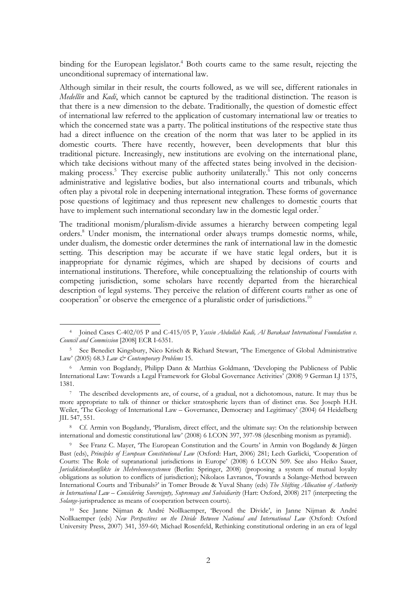binding for the European legislator.<sup>4</sup> Both courts came to the same result, rejecting the unconditional supremacy of international law.

Although similar in their result, the courts followed, as we will see, different rationales in *Medellín* and *Kadi*, which cannot be captured by the traditional distinction. The reason is that there is a new dimension to the debate. Traditionally, the question of domestic effect of international law referred to the application of customary international law or treaties to which the concerned state was a party. The political institutions of the respective state thus had a direct influence on the creation of the norm that was later to be applied in its domestic courts. There have recently, however, been developments that blur this traditional picture. Increasingly, new institutions are evolving on the international plane, which take decisions without many of the affected states being involved in the decisionmaking process.<sup>5</sup> They exercise public authority unilaterally.<sup> $\bar{6}$ </sup> This not only concerns administrative and legislative bodies, but also international courts and tribunals, which often play a pivotal role in deepening international integration. These forms of governance pose questions of legitimacy and thus represent new challenges to domestic courts that have to implement such international secondary law in the domestic legal order.<sup>7</sup>

The traditional monism/pluralism-divide assumes a hierarchy between competing legal orders.<sup>8</sup> Under monism, the international order always trumps domestic norms, while, under dualism, the domestic order determines the rank of international law in the domestic setting. This description may be accurate if we have static legal orders, but it is inappropriate for dynamic régimes, which are shaped by decisions of courts and international institutions. Therefore, while conceptualizing the relationship of courts with competing jurisdiction, some scholars have recently departed from the hierarchical description of legal systems. They perceive the relation of different courts rather as one of cooperation<sup>9</sup> or observe the emergence of a pluralistic order of jurisdictions.<sup>10</sup>

 <sup>4</sup> Joined Cases C-402/05 P and C-415/05 P, *Yassin Abdullah Kadi, Al Barakaat International Foundation v. Council and Commission* [2008] ECR I-6351.

<sup>5</sup> See Benedict Kingsbury, Nico Krisch & Richard Stewart, 'The Emergence of Global Administrative Law' (2005) 68.3 *Law & Contemporary Problems* 15.

<sup>6</sup> Armin von Bogdandy, Philipp Dann & Matthias Goldmann, 'Developing the Publicness of Public International Law: Towards a Legal Framework for Global Governance Activities' (2008) 9 German LJ 1375, 1381.

<sup>&</sup>lt;sup>7</sup> The described developments are, of course, of a gradual, not a dichotomous, nature. It may thus be more appropriate to talk of thinner or thicker stratospheric layers than of distinct eras. See Joseph H.H. Weiler, 'The Geology of International Law – Governance, Democracy and Legitimacy' (2004) 64 Heidelberg JIL 547, 551.

<sup>8</sup> Cf. Armin von Bogdandy, 'Pluralism, direct effect, and the ultimate say: On the relationship between international and domestic constitutional law' (2008) 6 I.CON 397, 397-98 (describing monism as pyramid).

<sup>9</sup> See Franz C. Mayer, 'The European Constitution and the Courts' in Armin von Bogdandy & Jürgen Bast (eds), *Principles of European Constitutional Law* (Oxford: Hart, 2006) 281; Lech Garlicki, 'Cooperation of Courts: The Role of supranational jurisdictions in Europe' (2008) 6 I.CON 509. See also Heiko Sauer, *Jurisdiktionskonflikte in Mehrebenensystemen* (Berlin: Springer, 2008) (proposing a system of mutual loyalty obligations as solution to conflicts of jurisdiction); Nikolaos Lavranos, 'Towards a Solange-Method between International Courts and Tribunals?' in Tomer Broude & Yuval Shany (eds) *The Shifting Allocation of Authority in International Law – Considering Sovereignty, Supremacy and Subsidiarity* (Hart: Oxford, 2008) 217 (interpreting the *Solange*-jurisprudence as means of cooperation between courts).

<sup>10</sup> See Janne Nijman & André Nollkaemper, 'Beyond the Divide', in Janne Nijman & André Nollkaemper (eds) *New Perspectives on the Divide Between National and International Law* (Oxford: Oxford University Press, 2007) 341, 359-60; Michael Rosenfeld, Rethinking constitutional ordering in an era of legal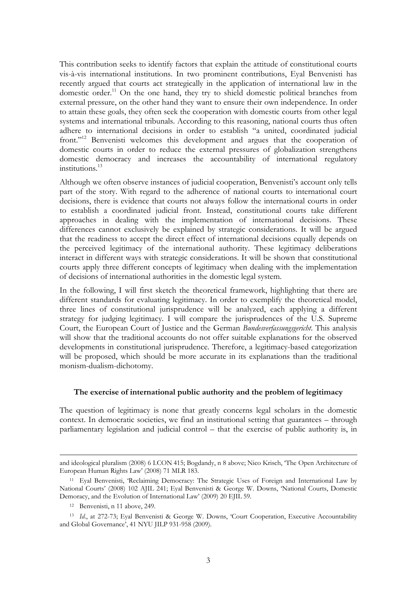This contribution seeks to identify factors that explain the attitude of constitutional courts vis-à-vis international institutions. In two prominent contributions, Eyal Benvenisti has recently argued that courts act strategically in the application of international law in the domestic order.<sup>11</sup> On the one hand, they try to shield domestic political branches from external pressure, on the other hand they want to ensure their own independence. In order to attain these goals, they often seek the cooperation with domestic courts from other legal systems and international tribunals. According to this reasoning, national courts thus often adhere to international decisions in order to establish "a united, coordinated judicial front."12 Benvenisti welcomes this development and argues that the cooperation of domestic courts in order to reduce the external pressures of globalization strengthens domestic democracy and increases the accountability of international regulatory institutions.13

Although we often observe instances of judicial cooperation, Benvenisti's account only tells part of the story. With regard to the adherence of national courts to international court decisions, there is evidence that courts not always follow the international courts in order to establish a coordinated judicial front. Instead, constitutional courts take different approaches in dealing with the implementation of international decisions. These differences cannot exclusively be explained by strategic considerations. It will be argued that the readiness to accept the direct effect of international decisions equally depends on the perceived legitimacy of the international authority. These legitimacy deliberations interact in different ways with strategic considerations. It will be shown that constitutional courts apply three different concepts of legitimacy when dealing with the implementation of decisions of international authorities in the domestic legal system.

In the following, I will first sketch the theoretical framework, highlighting that there are different standards for evaluating legitimacy. In order to exemplify the theoretical model, three lines of constitutional jurisprudence will be analyzed, each applying a different strategy for judging legitimacy. I will compare the jurisprudences of the U.S. Supreme Court, the European Court of Justice and the German *Bundesverfassungsgericht*. This analysis will show that the traditional accounts do not offer suitable explanations for the observed developments in constitutional jurisprudence. Therefore, a legitimacy-based categorization will be proposed, which should be more accurate in its explanations than the traditional monism-dualism-dichotomy.

# **The exercise of international public authority and the problem of legitimacy**

The question of legitimacy is none that greatly concerns legal scholars in the domestic context. In democratic societies, we find an institutional setting that guarantees – through parliamentary legislation and judicial control – that the exercise of public authority is, in

and ideological pluralism (2008) 6 I.CON 415; Bogdandy, n 8 above; Nico Krisch, 'The Open Architecture of European Human Rights Law' (2008) 71 MLR 183.

<sup>11</sup> Eyal Benvenisti, 'Reclaiming Democracy: The Strategic Uses of Foreign and International Law by National Courts' (2008) 102 AJIL 241; Eyal Benvenisti & George W. Downs, 'National Courts, Domestic Demoracy, and the Evolution of International Law' (2009) 20 EJIL 59.

<sup>12</sup> Benvenisti, n 11 above, 249.

<sup>&</sup>lt;sup>13</sup> *Id.*, at 272-73; Eyal Benvenisti & George W. Downs, 'Court Cooperation, Executive Accountability and Global Governance', 41 NYU JILP 931-958 (2009).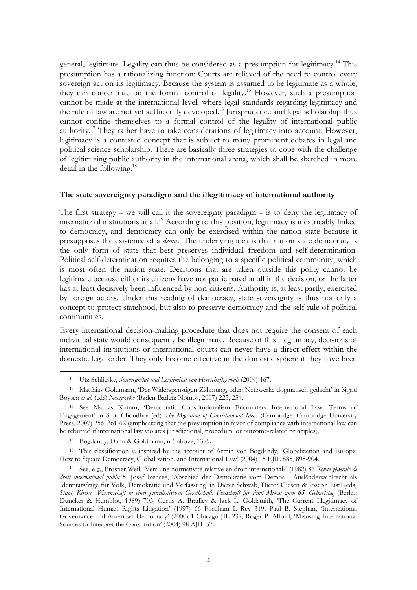general, legitimate. Legality can thus be considered as a presumption for legitimacy.<sup>14</sup> This presumption has a rationalizing function: Courts are relieved of the need to control every sovereign act on its legitimacy. Because the system is assumed to be legitimate as a whole, they can concentrate on the formal control of legality.<sup>15</sup> However, such a presumption cannot be made at the international level, where legal standards regarding legitimacy and the rule of law are not yet sufficiently developed.<sup>16</sup> Jurisprudence and legal scholarship thus cannot confine themselves to a formal control of the legality of international public authority.<sup>17</sup> They rather have to take considerations of legitimacy into account. However, legitimacy is a contested concept that is subject to many prominent debates in legal and political science scholarship. There are basically three strategies to cope with the challenge of legitimizing public authority in the international arena, which shall be sketched in more detail in the following.<sup>18</sup>

# **The state sovereignty paradigm and the illegitimacy of international authority**

The first strategy – we will call it the sovereignty paradigm – is to deny the legitimacy of international institutions at all.<sup>19</sup> According to this position, legitimacy is inextricably linked to democracy, and democracy can only be exercised within the nation state because it presupposes the existence of a *demos*. The underlying idea is that nation state democracy is the only form of state that best preserves individual freedom and self-determination. Political self-determination requires the belonging to a specific political community, which is most often the nation state. Decisions that are taken outside this polity cannot be legitimate because either its citizens have not participated at all in the decision, or the latter has at least decisively been influenced by non-citizens. Authority is, at least partly, exercised by foreign actors. Under this reading of democracy, state sovereignty is thus not only a concept to protect statehood, but also to preserve democracy and the self-rule of political communities.

Every international decision-making procedure that does not require the consent of each individual state would consequently be illegitimate. Because of this illegitimacy, decisions of international institutions or international courts can never have a direct effect within the domestic legal order. They only become effective in the domestic sphere if they have been

 <sup>14</sup> Utz Schliesky, *Souveränität und Legitimität von Herrschaftsgewalt* (2004) 167.

<sup>15</sup> Matthias Goldmann, 'Der Widerspenstigen Zähmung, oder: Netzwerke dogmatisch gedacht' in Sigrid Boysen *et al.* (eds) *Netzwerke* (Baden-Baden: Nomos, 2007) 225, 234.

<sup>16</sup> See Mattias Kumm, 'Democratic Constitutionalism Encounters International Law: Terms of Engagement' in Sujit Choudhry (ed) *The Migration of Constitutional Ideas* (Cambridge: Cambridge University Press, 2007) 256, 261-62 (emphasizing that the presumption in favor of compliance with international law can be rebutted if international law violates jurisdictional, procedural or outcome-related principles).

<sup>17</sup> Bogdandy, Dann & Goldmann, n 6 above, 1389.

<sup>&</sup>lt;sup>18</sup> This classification is inspired by the account of Armin von Bogdandy, 'Globalization and Europe: How to Square Democracy, Globalization, and International Law' (2004) 15 EJIL 885, 895-904.

<sup>19</sup> See, e.g., Prosper Weil, 'Vers une normativité relative en droit international?' (1982) 86 *Revue générale de droit international public* 5; Josef Isensee, 'Abschied der Demokratie vom Demos - Ausländerwahlrecht als Identitätsfrage für Volk, Demokratie und Verfassung' in Dieter Schwab, Dieter Giesen & Joseph Listl (eds) *Staat, Kirche, Wissenschaft in einer pluralistischen Gesellschaft. Festschrift für Paul Mikat zum 65. Geburtstag* (Berlin: Duncker & Humblot, 1989) 705; Curtis A. Bradley & Jack L. Goldsmith, 'The Current Illegitimacy of International Human Rights Litigation' (1997) 66 Fordham L Rev 319; Paul B. Stephan, 'International Governance and American Democracy' (2000) 1 Chicago JIL 237; Roger P. Alford, 'Misusing International Sources to Interpret the Constitution' (2004) 98 AJIL 57.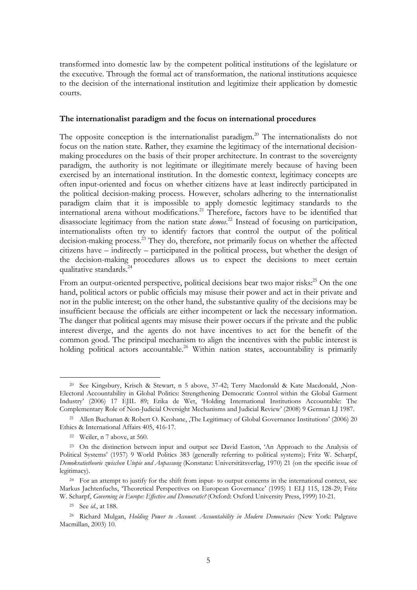transformed into domestic law by the competent political institutions of the legislature or the executive. Through the formal act of transformation, the national institutions acquiesce to the decision of the international institution and legitimize their application by domestic courts.

#### **The internationalist paradigm and the focus on international procedures**

The opposite conception is the internationalist paradigm.<sup>20</sup> The internationalists do not focus on the nation state. Rather, they examine the legitimacy of the international decisionmaking procedures on the basis of their proper architecture. In contrast to the sovereignty paradigm, the authority is not legitimate or illegitimate merely because of having been exercised by an international institution. In the domestic context, legitimacy concepts are often input-oriented and focus on whether citizens have at least indirectly participated in the political decision-making process. However, scholars adhering to the internationalist paradigm claim that it is impossible to apply domestic legitimacy standards to the international arena without modifications.<sup>21</sup> Therefore, factors have to be identified that disassociate legitimacy from the nation state *demos*. 22 Instead of focusing on participation, internationalists often try to identify factors that control the output of the political decision-making process.<sup>23</sup> They do, therefore, not primarily focus on whether the affected citizens have – indirectly – participated in the political process, but whether the design of the decision-making procedures allows us to expect the decisions to meet certain qualitative standards. $^{24}$ 

From an output-oriented perspective, political decisions bear two major risks: $^{25}$  On the one hand, political actors or public officials may misuse their power and act in their private and not in the public interest; on the other hand, the substantive quality of the decisions may be insufficient because the officials are either incompetent or lack the necessary information. The danger that political agents may misuse their power occurs if the private and the public interest diverge, and the agents do not have incentives to act for the benefit of the common good. The principal mechanism to align the incentives with the public interest is holding political actors accountable.<sup>26</sup> Within nation states, accountability is primarily

 <sup>20</sup> See Kingsbury, Krisch & Stewart, n 5 above, 37-42; Terry Macdonald & Kate Macdonald, 'Non-Electoral Accountability in Global Politics: Strengthening Democratic Control within the Global Garment Industry' (2006) 17 EJIL 89; Erika de Wet, 'Holding International Institutions Accountable: The Complementary Role of Non-Judicial Oversight Mechanisms and Judicial Review' (2008) 9 German LJ 1987.

<sup>&</sup>lt;sup>21</sup> Allen Buchanan & Robert O. Keohane, The Legitimacy of Global Governance Institutions' (2006) 20 Ethics & International Affairs 405, 416-17.

<sup>22</sup> Weiler, n 7 above, at 560.

<sup>&</sup>lt;sup>23</sup> On the distinction between input and output see David Easton, 'An Approach to the Analysis of Political Systems' (1957) 9 World Politics 383 (generally referring to political systems); Fritz W. Scharpf, *Demokratietheorie zwischen Utopie und Anpassung* (Konstanz: Universitätsverlag, 1970) 21 (on the specific issue of legitimacy).

<sup>&</sup>lt;sup>24</sup> For an attempt to justify for the shift from input- to output concerns in the international context, see Markus Jachtenfuchs, 'Theoretical Perspectives on European Governance' (1995) 1 ELJ 115, 128-29; Fritz W. Scharpf, *Governing in Europe: Effective and Democratic?* (Oxford: Oxford University Press, 1999) 10-21.

<sup>25</sup> See *id*., at 188.

<sup>26</sup> Richard Mulgan, *Holding Power to Account. Accountability in Modern Democracies* (New York: Palgrave Macmillan, 2003) 10.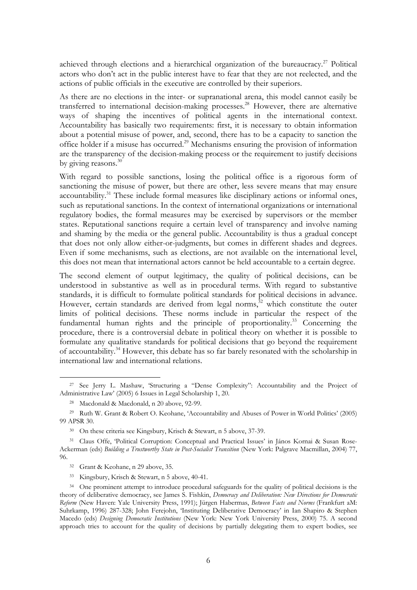achieved through elections and a hierarchical organization of the bureaucracy.<sup>27</sup> Political actors who don't act in the public interest have to fear that they are not reelected, and the actions of public officials in the executive are controlled by their superiors.

As there are no elections in the inter- or supranational arena, this model cannot easily be transferred to international decision-making processes.<sup>28</sup> However, there are alternative ways of shaping the incentives of political agents in the international context. Accountability has basically two requirements: first, it is necessary to obtain information about a potential misuse of power, and, second, there has to be a capacity to sanction the office holder if a misuse has occurred.29 Mechanisms ensuring the provision of information are the transparency of the decision-making process or the requirement to justify decisions by giving reasons.<sup>30</sup>

With regard to possible sanctions, losing the political office is a rigorous form of sanctioning the misuse of power, but there are other, less severe means that may ensure accountability.<sup>31</sup> These include formal measures like disciplinary actions or informal ones, such as reputational sanctions. In the context of international organizations or international regulatory bodies, the formal measures may be exercised by supervisors or the member states. Reputational sanctions require a certain level of transparency and involve naming and shaming by the media or the general public. Accountability is thus a gradual concept that does not only allow either-or-judgments, but comes in different shades and degrees. Even if some mechanisms, such as elections, are not available on the international level, this does not mean that international actors cannot be held accountable to a certain degree.

The second element of output legitimacy, the quality of political decisions, can be understood in substantive as well as in procedural terms. With regard to substantive standards, it is difficult to formulate political standards for political decisions in advance. However, certain standards are derived from legal norms, $32$  which constitute the outer limits of political decisions. These norms include in particular the respect of the fundamental human rights and the principle of proportionality.<sup>33</sup> Concerning the procedure, there is a controversial debate in political theory on whether it is possible to formulate any qualitative standards for political decisions that go beyond the requirement of accountability.34 However, this debate has so far barely resonated with the scholarship in international law and international relations.

 <sup>27</sup> See Jerry L. Mashaw, 'Structuring a "Dense Complexity": Accountability and the Project of Administrative Law' (2005) 6 Issues in Legal Scholarship 1, 20.

<sup>28</sup> Macdonald & Macdonald, n 20 above, 92-99.

<sup>29</sup> Ruth W. Grant & Robert O. Keohane, 'Accountability and Abuses of Power in World Politics' (2005) 99 APSR 30.

<sup>30</sup> On these criteria see Kingsbury, Krisch & Stewart, n 5 above, 37-39.

<sup>31</sup> Claus Offe, 'Political Corruption: Conceptual and Practical Issues' in János Kornai & Susan Rose-Ackerman (eds) *Building a Trustworthy State in Post-Socialist Transition* (New York: Palgrave Macmillan, 2004) 77, 96.

<sup>32</sup> Grant & Keohane, n 29 above, 35.

<sup>33</sup> Kingsbury, Krisch & Stewart, n 5 above, 40-41.

<sup>&</sup>lt;sup>34</sup> One prominent attempt to introduce procedural safeguards for the quality of political decisions is the theory of deliberative democracy, see James S. Fishkin, *Democracy and Deliberation: New Directions for Democratic Reform* (New Haven: Yale University Press, 1991); Jürgen Habermas, *Between Facts and Norms* (Frankfurt aM: Suhrkamp, 1996) 287-328; John Ferejohn, 'Instituting Deliberative Democracy' in Ian Shapiro & Stephen Macedo (eds) *Designing Democratic Institutions* (New York: New York University Press, 2000) 75. A second approach tries to account for the quality of decisions by partially delegating them to expert bodies, see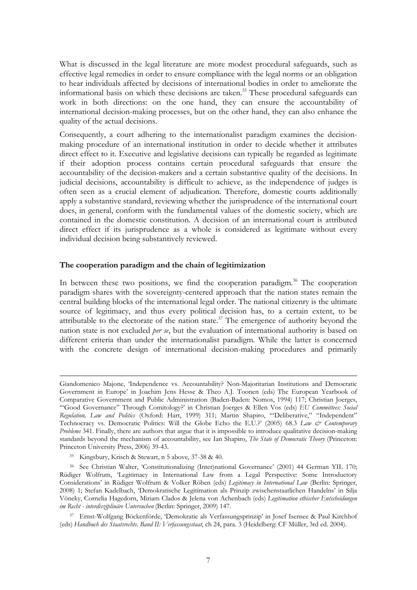What is discussed in the legal literature are more modest procedural safeguards, such as effective legal remedies in order to ensure compliance with the legal norms or an obligation to hear individuals affected by decisions of international bodies in order to ameliorate the informational basis on which these decisions are taken.<sup>35</sup> These procedural safeguards can work in both directions: on the one hand, they can ensure the accountability of international decision-making processes, but on the other hand, they can also enhance the quality of the actual decisions.

Consequently, a court adhering to the internationalist paradigm examines the decisionmaking procedure of an international institution in order to decide whether it attributes direct effect to it. Executive and legislative decisions can typically be regarded as legitimate if their adoption process contains certain procedural safeguards that ensure the accountability of the decision-makers and a certain substantive quality of the decisions. In judicial decisions, accountability is difficult to achieve, as the independence of judges is often seen as a crucial element of adjudication. Therefore, domestic courts additionally apply a substantive standard, reviewing whether the jurisprudence of the international court does, in general, conform with the fundamental values of the domestic society, which are contained in the domestic constitution. A decision of an international court is attributed direct effect if its jurisprudence as a whole is considered as legitimate without every individual decision being substantively reviewed.

# **The cooperation paradigm and the chain of legitimization**

In between these two positions, we find the cooperation paradigm.<sup>36</sup> The cooperation paradigm shares with the sovereignty-centered approach that the nation states remain the central building blocks of the international legal order. The national citizenry is the ultimate source of legitimacy, and thus every political decision has, to a certain extent, to be attributable to the electorate of the nation state.<sup>37</sup> The emergence of authority beyond the nation state is not excluded *per se*, but the evaluation of international authority is based on different criteria than under the internationalist paradigm. While the latter is concerned with the concrete design of international decision-making procedures and primarily

Giandomenico Majone, 'Independence vs. Accountability? Non-Majoritarian Institutions and Democratic Government in Europe' in Joachim Jens Hesse & Theo A.J. Toonen (eds) The European Yearbook of Comparative Government and Public Administration (Baden-Baden: Nomos, 1994) 117; Christian Joerges, '"Good Governance" Through Comitology?' in Christian Joerges & Ellen Vos (eds) *EU Committees: Social Regulation, Law and Politics* (Oxford: Hart, 1999) 311; Martin Shapiro, '"Deliberative," "Independent" Technocracy vs. Democratic Politics: Will the Globe Echo the E.U.?' (2005) 68.3 *Law & Contemporary Problems* 341. Finally, there are authors that argue that it is impossible to introduce qualitative decision-making standards beyond the mechanism of accountability, see Ian Shapiro, *The State of Democratic Theory* (Princeton: Princeton University Press, 2006) 39-43.

<sup>35</sup> Kingsbury, Krisch & Stewart, n 5 above, 37-38 & 40.

<sup>36</sup> See Christian Walter, 'Constitutionalizing (Inter)national Governance' (2001) 44 German YIL 170; Rüdiger Wolfrum, 'Legitimacy in International Law from a Legal Perspective: Some Introductory Considerations' in Rüdiger Wolfrum & Volker Röben (eds) *Legitimacy in International Law* (Berlin: Springer, 2008) 1; Stefan Kadelbach, 'Demokratische Legitimation als Prinzip zwischenstaatlichen Handelns' in Silja Vöneky, Cornelia Hagedorn, Miriam Clados & Jelena von Achenbach (eds) *Legitimation ethischer Entscheidungen im Recht - interdisziplinäre Untersuchen* (Berlin: Springer, 2009) 147.

<sup>37</sup> Ernst-Wolfgang Böckenförde, 'Demokratie als Verfassungsprinzip' in Josef Isensee & Paul Kirchhof (eds) *Handbuch des Staatsrechts. Band II: Verfassungsstaat*, ch 24, para. 3 (Heidelberg: CF Müller, 3rd ed. 2004).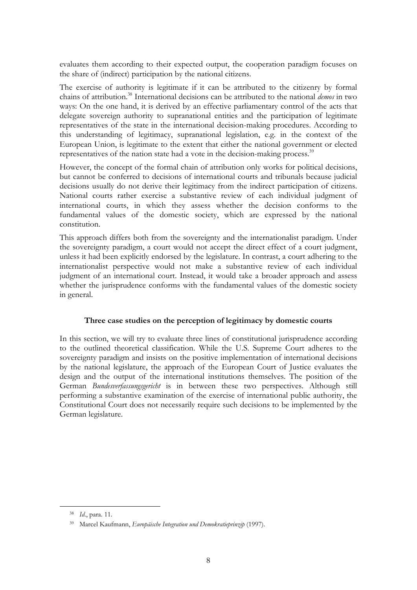evaluates them according to their expected output, the cooperation paradigm focuses on the share of (indirect) participation by the national citizens.

The exercise of authority is legitimate if it can be attributed to the citizenry by formal chains of attribution.38 International decisions can be attributed to the national *demos* in two ways: On the one hand, it is derived by an effective parliamentary control of the acts that delegate sovereign authority to supranational entities and the participation of legitimate representatives of the state in the international decision-making procedures. According to this understanding of legitimacy, supranational legislation, e.g. in the context of the European Union, is legitimate to the extent that either the national government or elected representatives of the nation state had a vote in the decision-making process.<sup>39</sup>

However, the concept of the formal chain of attribution only works for political decisions, but cannot be conferred to decisions of international courts and tribunals because judicial decisions usually do not derive their legitimacy from the indirect participation of citizens. National courts rather exercise a substantive review of each individual judgment of international courts, in which they assess whether the decision conforms to the fundamental values of the domestic society, which are expressed by the national constitution.

This approach differs both from the sovereignty and the internationalist paradigm. Under the sovereignty paradigm, a court would not accept the direct effect of a court judgment, unless it had been explicitly endorsed by the legislature. In contrast, a court adhering to the internationalist perspective would not make a substantive review of each individual judgment of an international court. Instead, it would take a broader approach and assess whether the jurisprudence conforms with the fundamental values of the domestic society in general.

# **Three case studies on the perception of legitimacy by domestic courts**

In this section, we will try to evaluate three lines of constitutional jurisprudence according to the outlined theoretical classification. While the U.S. Supreme Court adheres to the sovereignty paradigm and insists on the positive implementation of international decisions by the national legislature, the approach of the European Court of Justice evaluates the design and the output of the international institutions themselves. The position of the German *Bundesverfassungsgericht* is in between these two perspectives. Although still performing a substantive examination of the exercise of international public authority, the Constitutional Court does not necessarily require such decisions to be implemented by the German legislature.

 <sup>38</sup> *Id*., para. 11.

<sup>39</sup> Marcel Kaufmann, *Europäische Integration und Demokratieprinzip* (1997).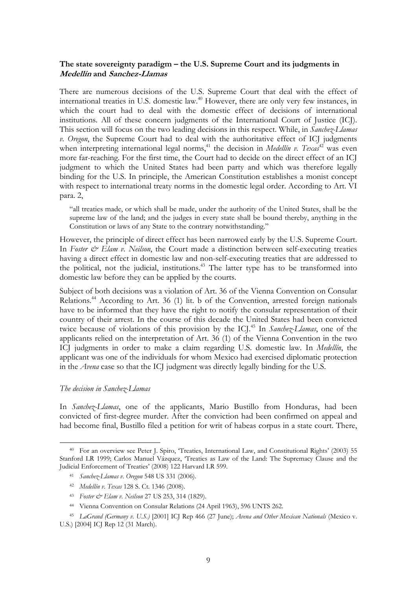# **The state sovereignty paradigm – the U.S. Supreme Court and its judgments in Medellín and Sanchez-Llamas**

There are numerous decisions of the U.S. Supreme Court that deal with the effect of international treaties in U.S. domestic law.<sup>40</sup> However, there are only very few instances, in which the court had to deal with the domestic effect of decisions of international institutions. All of these concern judgments of the International Court of Justice (ICJ). This section will focus on the two leading decisions in this respect. While, in *Sanchez-Llamas v. Oregon*, the Supreme Court had to deal with the authoritative effect of ICJ judgments when interpreting international legal norms,<sup>41</sup> the decision in *Medellín v. Texas*<sup>42</sup> was even more far-reaching. For the first time, the Court had to decide on the direct effect of an ICJ judgment to which the United States had been party and which was therefore legally binding for the U.S. In principle, the American Constitution establishes a monist concept with respect to international treaty norms in the domestic legal order. According to Art. VI para. 2,

"all treaties made, or which shall be made, under the authority of the United States, shall be the supreme law of the land; and the judges in every state shall be bound thereby, anything in the Constitution or laws of any State to the contrary notwithstanding."

However, the principle of direct effect has been narrowed early by the U.S. Supreme Court. In *Foster & Elam v. Neilson*, the Court made a distinction between self-executing treaties having a direct effect in domestic law and non-self-executing treaties that are addressed to the political, not the judicial, institutions.<sup>43</sup> The latter type has to be transformed into domestic law before they can be applied by the courts.

Subject of both decisions was a violation of Art. 36 of the Vienna Convention on Consular Relations.<sup>44</sup> According to Art. 36 (1) lit. b of the Convention, arrested foreign nationals have to be informed that they have the right to notify the consular representation of their country of their arrest. In the course of this decade the United States had been convicted twice because of violations of this provision by the ICJ.<sup>45</sup> In *Sanchez-Llamas*, one of the applicants relied on the interpretation of Art. 36 (1) of the Vienna Convention in the two ICJ judgments in order to make a claim regarding U.S. domestic law. In *Medellín*, the applicant was one of the individuals for whom Mexico had exercised diplomatic protection in the *Avena* case so that the ICJ judgment was directly legally binding for the U.S.

#### *The decision in Sanchez-Llamas*

In *Sanchez-Llamas*, one of the applicants, Mario Bustillo from Honduras, had been convicted of first-degree murder. After the conviction had been confirmed on appeal and had become final, Bustillo filed a petition for writ of habeas corpus in a state court. There,

 <sup>40</sup> For an overview see Peter J. Spiro, 'Treaties, International Law, and Constitutional Rights' (2003) 55 Stanford LR 1999; Carlos Manuel Vázquez, 'Treaties as Law of the Land: The Supremacy Clause and the Judicial Enforcement of Treaties' (2008) 122 Harvard LR 599.

<sup>41</sup> *Sanchez-Llamas v. Oregon* 548 US 331 (2006).

<sup>42</sup> *Medellín v. Texas* 128 S. Ct. 1346 (2008).

<sup>43</sup> *Foster & Elam v. Neilson* 27 US 253, 314 (1829).

<sup>44</sup> Vienna Convention on Consular Relations (24 April 1963), 596 UNTS 262.

<sup>45</sup> *LaGrand (Germany v. U.S.)* [2001] ICJ Rep 466 (27 June); *Avena and Other Mexican Nationals* (Mexico v. U.S.) [2004] ICJ Rep 12 (31 March).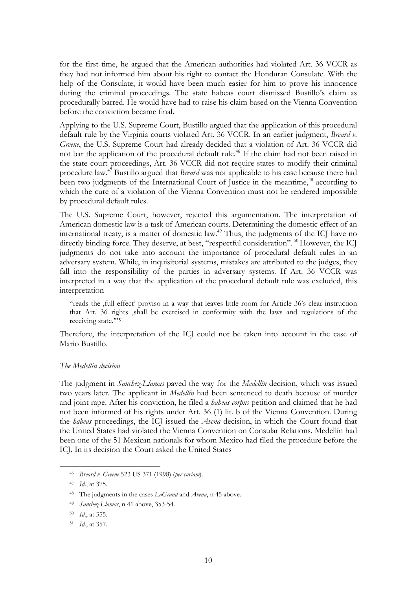for the first time, he argued that the American authorities had violated Art. 36 VCCR as they had not informed him about his right to contact the Honduran Consulate. With the help of the Consulate, it would have been much easier for him to prove his innocence during the criminal proceedings. The state habeas court dismissed Bustillo's claim as procedurally barred. He would have had to raise his claim based on the Vienna Convention before the conviction became final.

Applying to the U.S. Supreme Court, Bustillo argued that the application of this procedural default rule by the Virginia courts violated Art. 36 VCCR. In an earlier judgment, *Breard v. Greene*, the U.S. Supreme Court had already decided that a violation of Art. 36 VCCR did not bar the application of the procedural default rule.<sup>46</sup> If the claim had not been raised in the state court proceedings, Art. 36 VCCR did not require states to modify their criminal procedure law.47 Bustillo argued that *Breard* was not applicable to his case because there had been two judgments of the International Court of Justice in the meantime,<sup>48</sup> according to which the cure of a violation of the Vienna Convention must not be rendered impossible by procedural default rules.

The U.S. Supreme Court, however, rejected this argumentation. The interpretation of American domestic law is a task of American courts. Determining the domestic effect of an international treaty, is a matter of domestic law.<sup> $49$ </sup> Thus, the judgments of the ICJ have no directly binding force. They deserve, at best, "respectful consideration". <sup>50</sup> However, the ICJ judgments do not take into account the importance of procedural default rules in an adversary system. While, in inquisitorial systems, mistakes are attributed to the judges, they fall into the responsibility of the parties in adversary systems. If Art. 36 VCCR was interpreted in a way that the application of the procedural default rule was excluded, this interpretation

"reads the 'full effect' proviso in a way that leaves little room for Article 36's clear instruction that Art. 36 rights 'shall be exercised in conformity with the laws and regulations of the receiving state.'"51

Therefore, the interpretation of the ICJ could not be taken into account in the case of Mario Bustillo.

# *The Medellín decision*

The judgment in *Sanchez-Llamas* paved the way for the *Medellín* decision, which was issued two years later. The applicant in *Medellín* had been sentenced to death because of murder and joint rape. After his conviction, he filed a *habeas corpus* petition and claimed that he had not been informed of his rights under Art. 36 (1) lit. b of the Vienna Convention. During the *habeas* proceedings, the ICJ issued the *Avena* decision, in which the Court found that the United States had violated the Vienna Convention on Consular Relations. Medellín had been one of the 51 Mexican nationals for whom Mexico had filed the procedure before the ICJ. In its decision the Court asked the United States

 <sup>46</sup> *Breard v. Greene* 523 US 371 (1998) (*per curiam*).

<sup>47</sup> *Id*., at 375.

<sup>48</sup> The judgments in the cases *LaGrand* and *Avena*, n 45 above.

<sup>49</sup> *Sanchez-Llamas*, n 41 above, 353-54.

<sup>50</sup> *Id*., at 355.

<sup>51</sup> *Id*., at 357.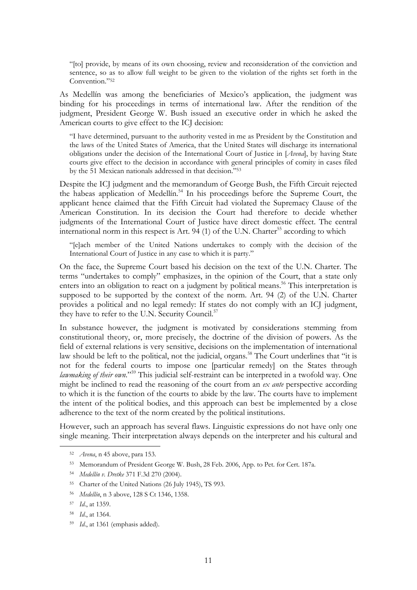"[to] provide, by means of its own choosing, review and reconsideration of the conviction and sentence, so as to allow full weight to be given to the violation of the rights set forth in the Convention."52

As Medellín was among the beneficiaries of Mexico's application, the judgment was binding for his proceedings in terms of international law. After the rendition of the judgment, President George W. Bush issued an executive order in which he asked the American courts to give effect to the ICJ decision:

"I have determined, pursuant to the authority vested in me as President by the Constitution and the laws of the United States of America, that the United States will discharge its international obligations under the decision of the International Court of Justice in [*Avena*], by having State courts give effect to the decision in accordance with general principles of comity in cases filed by the 51 Mexican nationals addressed in that decision."53

Despite the ICJ judgment and the memorandum of George Bush, the Fifth Circuit rejected the habeas application of Medellín.<sup>54</sup> In his proceedings before the Supreme Court, the applicant hence claimed that the Fifth Circuit had violated the Supremacy Clause of the American Constitution. In its decision the Court had therefore to decide whether judgments of the International Court of Justice have direct domestic effect. The central international norm in this respect is Art. 94 (1) of the U.N. Charter<sup>55</sup> according to which

"[e]ach member of the United Nations undertakes to comply with the decision of the International Court of Justice in any case to which it is party."

On the face, the Supreme Court based his decision on the text of the U.N. Charter. The terms "undertakes to comply" emphasizes, in the opinion of the Court, that a state only enters into an obligation to react on a judgment by political means.<sup>56</sup> This interpretation is supposed to be supported by the context of the norm. Art. 94 (2) of the U.N. Charter provides a political and no legal remedy: If states do not comply with an ICJ judgment, they have to refer to the U.N. Security Council.<sup>57</sup>

In substance however, the judgment is motivated by considerations stemming from constitutional theory, or, more precisely, the doctrine of the division of powers. As the field of external relations is very sensitive, decisions on the implementation of international law should be left to the political, not the judicial, organs.<sup>58</sup> The Court underlines that "it is not for the federal courts to impose one [particular remedy] on the States through *lawmaking of their own*."59 This judicial self-restraint can be interpreted in a twofold way. One might be inclined to read the reasoning of the court from an *ex ante* perspective according to which it is the function of the courts to abide by the law. The courts have to implement the intent of the political bodies, and this approach can best be implemented by a close adherence to the text of the norm created by the political institutions.

However, such an approach has several flaws. Linguistic expressions do not have only one single meaning. Their interpretation always depends on the interpreter and his cultural and

 <sup>52</sup> *Avena*, n 45 above, para 153.

<sup>53</sup> Memorandum of President George W. Bush, 28 Feb. 2006, App. to Pet. for Cert. 187a.

<sup>54</sup> *Medellín v. Dretke* 371 F.3d 270 (2004).

<sup>55</sup> Charter of the United Nations (26 July 1945), TS 993.

<sup>56</sup> *Medellín*, n 3 above, 128 S Ct 1346, 1358.

<sup>57</sup> *Id*., at 1359.

<sup>58</sup> *Id*., at 1364.

<sup>59</sup> *Id*., at 1361 (emphasis added).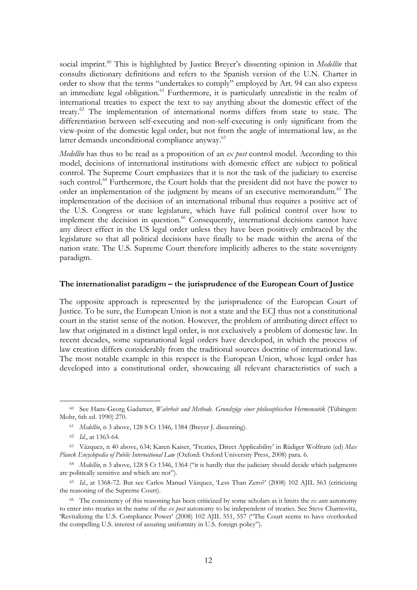social imprint.<sup>60</sup> This is highlighted by Justice Breyer's dissenting opinion in *Medellín* that consults dictionary definitions and refers to the Spanish version of the U.N. Charter in order to show that the terms "undertakes to comply" employed by Art. 94 can also express an immediate legal obligation. $^{61}$  Furthermore, it is particularly unrealistic in the realm of international treaties to expect the text to say anything about the domestic effect of the treaty.62 The implementation of international norms differs from state to state. The differentiation between self-executing and non-self-executing is only significant from the view-point of the domestic legal order, but not from the angle of international law, as the latter demands unconditional compliance anyway.<sup>63</sup>

*Medellín* has thus to be read as a proposition of an *ex post* control model. According to this model, decisions of international institutions with domestic effect are subject to political control. The Supreme Court emphasizes that it is not the task of the judiciary to exercise such control.<sup>64</sup> Furthermore, the Court holds that the president did not have the power to order an implementation of the judgment by means of an executive memorandum.<sup>65</sup> The implementation of the decision of an international tribunal thus requires a positive act of the U.S. Congress or state legislature, which have full political control over how to implement the decision in question.<sup>66</sup> Consequently, international decisions cannot have any direct effect in the US legal order unless they have been positively embraced by the legislature so that all political decisions have finally to be made within the arena of the nation state. The U.S. Supreme Court therefore implicitly adheres to the state sovereignty paradigm.

# **The internationalist paradigm – the jurisprudence of the European Court of Justice**

The opposite approach is represented by the jurisprudence of the European Court of Justice. To be sure, the European Union is not a state and the ECJ thus not a constitutional court in the statist sense of the notion. However, the problem of attributing direct effect to law that originated in a distinct legal order, is not exclusively a problem of domestic law. In recent decades, some supranational legal orders have developed, in which the process of law creation differs considerably from the traditional sources doctrine of international law. The most notable example in this respect is the European Union, whose legal order has developed into a constitutional order, showcasing all relevant characteristics of such a

 <sup>60</sup> See Hans-Georg Gadamer, *Wahrheit und Methode. Grundzüge einer philosophischen Hermeneutik* (Tübingen: Mohr, 6th ed. 1990) 270.

<sup>61</sup> *Medellín*, n 3 above, 128 S Ct 1346, 1384 (Breyer J. dissenting).

<sup>62</sup> *Id*., at 1363-64.

<sup>63</sup> Vázquez, n 40 above, 634; Karen Kaiser, 'Treaties, Direct Applicability' in Rüdiger Wolfrum (ed) *Max Planck Encyclopedia of Public International Law* (Oxford: Oxford University Press, 2008) para. 6.

<sup>64</sup> *Medellín*, n 3 above, 128 S Ct 1346, 1364 ("it is hardly that the judiciary should decide which judgments are politically sensitive and which are not").

<sup>65</sup> *Id*., at 1368-72. But see Carlos Manuel Vázquez, 'Less Than Zero?' (2008) 102 AJIL 563 (criticizing the reasoning of the Supreme Court).

<sup>66</sup> The consistency of this reasoning has been criticized by some scholars as it limits the *ex ante* autonomy to enter into treaties in the name of the *ex post* autonomy to be independent of treaties. See Steve Charnovitz, 'Revitalizing the U.S. Compliance Power' (2008) 102 AJIL 551, 557 ("The Court seems to have overlooked the compelling U.S. interest of assuring uniformity in U.S. foreign policy").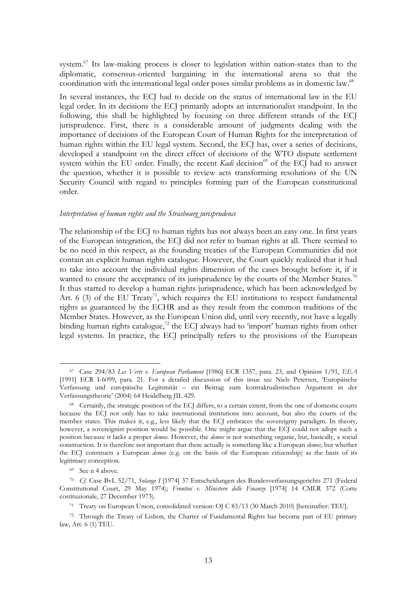system.<sup>67</sup> Its law-making process is closer to legislation within nation-states than to the diplomatic, consensus-oriented bargaining in the international arena so that the coordination with the international legal order poses similar problems as in domestic law.<sup>68</sup>

In several instances, the ECJ had to decide on the status of international law in the EU legal order. In its decisions the ECJ primarily adopts an internationalist standpoint. In the following, this shall be highlighted by focusing on three different strands of the ECJ jurisprudence. First, there is a considerable amount of judgments dealing with the importance of decisions of the European Court of Human Rights for the interpretation of human rights within the EU legal system. Second, the ECJ has, over a series of decisions, developed a standpoint on the direct effect of decisions of the WTO dispute settlement system within the EU order. Finally, the recent *Kadi* decision<sup>69</sup> of the ECJ had to answer the question, whether it is possible to review acts transforming resolutions of the UN Security Council with regard to principles forming part of the European constitutional order.

#### *Interpretation of human rights and the Strasbourg jurisprudence*

The relationship of the ECJ to human rights has not always been an easy one. In first years of the European integration, the ECJ did not refer to human rights at all. There seemed to be no need in this respect, as the founding treaties of the European Communities did not contain an explicit human rights catalogue. However, the Court quickly realized that it had to take into account the individual rights dimension of the cases brought before it, if it wanted to ensure the acceptance of its jurisprudence by the courts of the Member States.<sup>70</sup> It thus started to develop a human rights jurisprudence, which has been acknowledged by Art. 6 (3) of the EU Treaty<sup>71</sup>, which requires the EU institutions to respect fundamental rights as guaranteed by the ECHR and as they result from the common traditions of the Member States. However, as the European Union did, until very recently, not have a legally binding human rights catalogue,<sup>72</sup> the ECJ always had to 'import' human rights from other legal systems. In practice, the ECJ principally refers to the provisions of the European

 <sup>67</sup> Case 294/83 *Les Verts v. European Parliament* [1986] ECR 1357, para. 23, and Opinion 1/91, *EEA* [1991] ECR I-6099, para. 21. For a detailed discussion of this issue see Niels Petersen, 'Europäische Verfassung und europäische Legitimität – ein Beitrag zum kontraktualistischen Argument in der Verfassungstheorie' (2004) 64 Heidelberg JIL 429.

<sup>68</sup> Certainly, the strategic position of the ECJ differs, to a certain extent, from the one of domestic courts because the ECJ not only has to take international institutions into account, but also the courts of the member states. This makes it, e.g., less likely that the ECJ embraces the sovereignty paradigm. In theory, however, a sovereignist position would be possible. One might argue that the ECJ could not adopt such a position because it lacks a proper *demos*. However, the *demos* is not something organic, but, basically, a social construction. It is therefore not important that there actually is something like a European *demos*, but whether the ECJ constructs a European *demos* (e.g. on the basis of the European citizenship) as the basis of its legitimacy conception.

<sup>69</sup> See n 4 above.

<sup>70</sup> *Cf.* Case BvL 52/71, *Solange I* [1974] 37 Entscheidungen des Bundesverfassungsgerichts 271 (Federal Constitutional Court, 29 May 1974); *Frontini v. Ministero delle Finanze* [1974] 14 CMLR 372 (Corte costituzionale, 27 December 1973).

<sup>71</sup> Treaty on European Union, consolidated version: OJ C 83/13 (30 March 2010) [hereinafter: TEU].

<sup>&</sup>lt;sup>72</sup> Through the Treaty of Lisbon, the Charter of Fundamental Rights has become part of EU primary law, Art. 6 (1) TEU.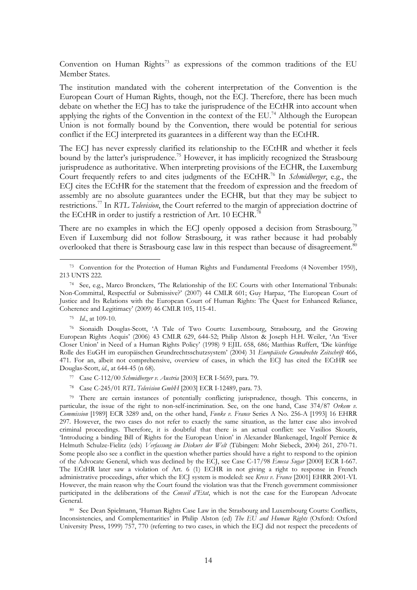Convention on Human Rights<sup>73</sup> as expressions of the common traditions of the EU Member States.

The institution mandated with the coherent interpretation of the Convention is the European Court of Human Rights, though, not the ECJ. Therefore, there has been much debate on whether the ECJ has to take the jurisprudence of the ECtHR into account when applying the rights of the Convention in the context of the EU.<sup>74</sup> Although the European Union is not formally bound by the Convention, there would be potential for serious conflict if the ECJ interpreted its guarantees in a different way than the ECtHR.

The ECJ has never expressly clarified its relationship to the ECtHR and whether it feels bound by the latter's jurisprudence.<sup>75</sup> However, it has implicitly recognized the Strasbourg jurisprudence as authoritative. When interpreting provisions of the ECHR, the Luxemburg Court frequently refers to and cites judgments of the ECtHR.76 In *Schmidberger*, e.g., the ECJ cites the ECtHR for the statement that the freedom of expression and the freedom of assembly are no absolute guarantees under the ECHR, but that they may be subject to restrictions.77 In *RTL Television*, the Court referred to the margin of appreciation doctrine of the ECtHR in order to justify a restriction of Art. 10 ECHR.<sup>78</sup>

There are no examples in which the ECJ openly opposed a decision from Strasbourg.<sup>79</sup> Even if Luxemburg did not follow Strasbourg, it was rather because it had probably overlooked that there is Strasbourg case law in this respect than because of disagreement.<sup>80</sup>

75 *Id*., at 109-10.

76 Sionaidh Douglas-Scott, 'A Tale of Two Courts: Luxembourg, Strasbourg, and the Growing European Rights Acquis' (2006) 43 CMLR 629, 644-52; Philip Alston & Joseph H.H. Weiler, 'An 'Ever Closer Union' in Need of a Human Rights Policy' (1998) 9 EJIL 658, 686; Matthias Ruffert, 'Die künftige Rolle des EuGH im europäischen Grundrechtsschutzsystem' (2004) 31 *Europäische Grundrechte Zeitschrift* 466, 471. For an, albeit not comprehensive, overview of cases, in which the ECJ has cited the ECtHR see Douglas-Scott, *id*., at 644-45 (n 68).

- 77 Case C-112/00 *Schmidberger v. Austria* [2003] ECR I-5659, para. 79.
- 78 Case C-245/01 *RTL Television GmbH* [2003] ECR I-12489, para. 73.

79 There are certain instances of potentially conflicting jurisprudence, though. This concerns, in particular, the issue of the right to non-self-incrimination. See, on the one hand, Case 374/87 *Orkem v. Commission* [1989] ECR 3289 and, on the other hand, *Funke v. France* Series A No. 256-A [1993] 16 EHRR 297. However, the two cases do not refer to exactly the same situation, as the latter case also involved criminal proceedings. Therefore, it is doubtful that there is an actual conflict: see Vasilios Skouris, 'Introducing a binding Bill of Rights for the European Union' in Alexander Blankenagel, Ingolf Pernice & Helmuth Schulze-Fielitz (eds) *Verfassung im Diskurs der Welt* (Tübingen: Mohr Siebeck, 2004) 261, 270-71. Some people also see a conflict in the question whether parties should have a right to respond to the opinion of the Advocate General, which was declined by the ECJ, see Case C-17/98 *Emesa Sugar* [2000] ECR I-667. The ECtHR later saw a violation of Art. 6 (1) ECHR in not giving a right to response in French administrative proceedings, after which the ECJ system is modeled: see *Kress v. France* [2001] EHRR 2001-VI. However, the main reason why the Court found the violation was that the French government commissioner participated in the deliberations of the *Conseil d'Etat*, which is not the case for the European Advocate General.

80 See Dean Spielmann, 'Human Rights Case Law in the Strasbourg and Luxembourg Courts: Conflicts, Inconsistencies, and Complementarities' in Philip Alston (ed) *The EU and Human Rights* (Oxford: Oxford University Press, 1999) 757, 770 (referring to two cases, in which the ECJ did not respect the precedents of

 <sup>73</sup> Convention for the Protection of Human Rights and Fundamental Freedoms (4 November 1950), 213 UNTS 222.

<sup>74</sup> See, e.g., Marco Bronckers, 'The Relationship of the EC Courts with other International Tribunals: Non-Committal, Respectful or Submissive?' (2007) 44 CMLR 601; Guy Harpaz, 'The European Court of Justice and Its Relations with the European Court of Human Rights: The Quest for Enhanced Reliance, Coherence and Legitimacy' (2009) 46 CMLR 105, 115-41.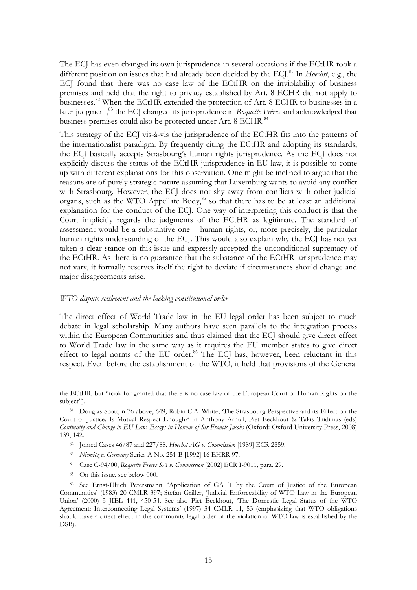The ECJ has even changed its own jurisprudence in several occasions if the ECtHR took a different position on issues that had already been decided by the ECJ.81 In *Hoechst*, e.g., the ECJ found that there was no case law of the ECtHR on the inviolability of business premises and held that the right to privacy established by Art. 8 ECHR did not apply to businesses.<sup>82</sup> When the ECtHR extended the protection of Art. 8 ECHR to businesses in a later judgment,<sup>83</sup> the ECJ changed its jurisprudence in *Roquette Frères* and acknowledged that business premises could also be protected under Art. 8 ECHR.<sup>84</sup>

This strategy of the ECJ vis-à-vis the jurisprudence of the ECtHR fits into the patterns of the internationalist paradigm. By frequently citing the ECtHR and adopting its standards, the ECJ basically accepts Strasbourg's human rights jurisprudence. As the ECJ does not explicitly discuss the status of the ECtHR jurisprudence in EU law, it is possible to come up with different explanations for this observation. One might be inclined to argue that the reasons are of purely strategic nature assuming that Luxemburg wants to avoid any conflict with Strasbourg. However, the ECJ does not shy away from conflicts with other judicial organs, such as the WTO Appellate Body, $85$  so that there has to be at least an additional explanation for the conduct of the ECJ. One way of interpreting this conduct is that the Court implicitly regards the judgments of the ECtHR as legitimate. The standard of assessment would be a substantive one – human rights, or, more precisely, the particular human rights understanding of the ECJ. This would also explain why the ECJ has not yet taken a clear stance on this issue and expressly accepted the unconditional supremacy of the ECtHR. As there is no guarantee that the substance of the ECtHR jurisprudence may not vary, it formally reserves itself the right to deviate if circumstances should change and major disagreements arise.

#### *WTO dispute settlement and the lacking constitutional order*

The direct effect of World Trade law in the EU legal order has been subject to much debate in legal scholarship. Many authors have seen parallels to the integration process within the European Communities and thus claimed that the ECJ should give direct effect to World Trade law in the same way as it requires the EU member states to give direct effect to legal norms of the EU order.<sup>86</sup> The ECJ has, however, been reluctant in this respect. Even before the establishment of the WTO, it held that provisions of the General

- 82 Joined Cases 46/87 and 227/88, *Hoechst AG v. Commission* [1989] ECR 2859.
- 83 *Niemitz v. Germany* Series A No. 251-B [1992] 16 EHRR 97.
- 84 Case C-94/00, *Roquette Frères SA v. Commission* [2002] ECR I-9011, para. 29.
- 85 On this issue, see below 000.

the ECtHR, but "took for granted that there is no case-law of the European Court of Human Rights on the subject").

<sup>81</sup> Douglas-Scott, n 76 above, 649; Robin C.A. White, 'The Strasbourg Perspective and its Effect on the Court of Justice: Is Mutual Respect Enough?' in Anthony Arnull, Piet Eeckhout & Takis Tridimas (eds) *Continuity and Change in EU Law. Essays in Honour of Sir Francis Jacobs* (Oxford: Oxford University Press, 2008) 139, 142.

<sup>86</sup> See Ernst-Ulrich Petersmann, 'Application of GATT by the Court of Justice of the European Communities' (1983) 20 CMLR 397; Stefan Griller, 'Judicial Enforceability of WTO Law in the European Union' (2000) 3 JIEL 441, 450-54. See also Piet Eeckhout, 'The Domestic Legal Status of the WTO Agreement: Interconnecting Legal Systems' (1997) 34 CMLR 11, 53 (emphasizing that WTO obligations should have a direct effect in the community legal order of the violation of WTO law is established by the DSB).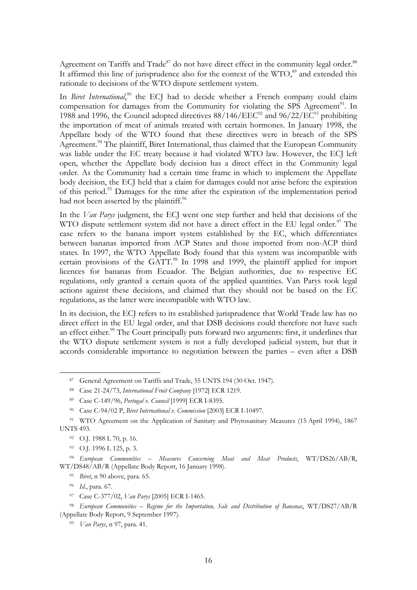Agreement on Tariffs and Trade<sup>87</sup> do not have direct effect in the community legal order.<sup>88</sup> It affirmed this line of jurisprudence also for the context of the  $WTO<sub>59</sub>$  and extended this rationale to decisions of the WTO dispute settlement system.

In *Biret International*,<sup>90</sup> the ECJ had to decide whether a French company could claim compensation for damages from the Community for violating the SPS Agreement<sup>91</sup>. In 1988 and 1996, the Council adopted directives  $88/146/EEC^{92}$  and  $96/22/EC^{93}$  prohibiting the importation of meat of animals treated with certain hormones. In January 1998, the Appellate body of the WTO found that these directives were in breach of the SPS Agreement.<sup>94</sup> The plaintiff, Biret International, thus claimed that the European Community was liable under the EC treaty because it had violated WTO law. However, the ECJ left open, whether the Appellate body decision has a direct effect in the Community legal order. As the Community had a certain time frame in which to implement the Appellate body decision, the ECJ held that a claim for damages could not arise before the expiration of this period.<sup>95</sup> Damages for the time after the expiration of the implementation period had not been asserted by the plaintiff.<sup>96</sup>

In the *Van Parys* judgment, the ECJ went one step further and held that decisions of the WTO dispute settlement system did not have a direct effect in the EU legal order.<sup>97</sup> The case refers to the banana import system established by the EC, which differentiates between bananas imported from ACP States and those imported from non-ACP third states. In 1997, the WTO Appellate Body found that this system was incompatible with certain provisions of the GATT. $^{98}$  In 1998 and 1999, the plaintiff applied for import licences for bananas from Ecuador. The Belgian authorities, due to respective EC regulations, only granted a certain quota of the applied quantities. Van Parys took legal actions against these decisions, and claimed that they should not be based on the EC regulations, as the latter were incompatible with WTO law.

In its decision, the ECJ refers to its established jurisprudence that World Trade law has no direct effect in the EU legal order, and that DSB decisions could therefore not have such an effect either.<sup>99</sup> The Court principally puts forward two arguments: first, it underlines that the WTO dispute settlement system is not a fully developed judicial system, but that it accords considerable importance to negotiation between the parties – even after a DSB

95 *Biret*, n 90 above, para. 65.

 <sup>87</sup> General Agreement on Tariffs and Trade, 55 UNTS 194 (30 Oct. 1947).

<sup>88</sup> Case 21-24/73, *International Fruit Company* [1972] ECR 1219.

<sup>89</sup> Case C-149/96, *Portugal v. Council* [1999] ECR I-8395.

<sup>90</sup> Case C-94/02 P, *Biret International v. Commission* [2003] ECR I-10497.

<sup>&</sup>lt;sup>91</sup> WTO Agreement on the Application of Sanitary and Phytosanitary Measures (15 April 1994), 1867 UNTS 493.

<sup>92</sup> O.J. 1988 L 70, p. 16.

<sup>93</sup> O.J. 1996 L 125, p. 3.

<sup>94</sup> *European Communities – Measures Concerning Meat and Meat Products*, WT/DS26/AB/R, WT/DS48/AB/R (Appellate Body Report, 16 January 1998).

<sup>96</sup> *Id*., para. 67.

<sup>97</sup> Case C-377/02, *Van Parys* [2005] ECR I-1465.

<sup>98</sup> *European Communities – Regime for the Importation, Sale and Distribution of Bananas*, WT/DS27/AB/R (Appellate Body Report, 9 September 1997).

<sup>99</sup> *Van Parys*, n 97, para. 41.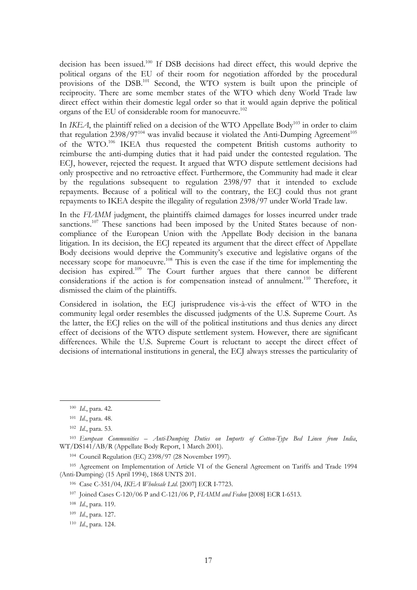decision has been issued.<sup>100</sup> If DSB decisions had direct effect, this would deprive the political organs of the EU of their room for negotiation afforded by the procedural provisions of the DSB.101 Second, the WTO system is built upon the principle of reciprocity. There are some member states of the WTO which deny World Trade law direct effect within their domestic legal order so that it would again deprive the political organs of the EU of considerable room for manoeuvre.<sup>102</sup>

In *IKEA*, the plaintiff relied on a decision of the WTO Appellate Body<sup>103</sup> in order to claim that regulation  $2398/97^{104}$  was invalid because it violated the Anti-Dumping Agreement<sup>105</sup> of the WTO.106 IKEA thus requested the competent British customs authority to reimburse the anti-dumping duties that it had paid under the contested regulation. The ECJ, however, rejected the request. It argued that WTO dispute settlement decisions had only prospective and no retroactive effect. Furthermore, the Community had made it clear by the regulations subsequent to regulation 2398/97 that it intended to exclude repayments. Because of a political will to the contrary, the ECJ could thus not grant repayments to IKEA despite the illegality of regulation 2398/97 under World Trade law.

In the *FLAMM* judgment, the plaintiffs claimed damages for losses incurred under trade sanctions.<sup>107</sup> These sanctions had been imposed by the United States because of noncompliance of the European Union with the Appellate Body decision in the banana litigation. In its decision, the ECJ repeated its argument that the direct effect of Appellate Body decisions would deprive the Community's executive and legislative organs of the necessary scope for manoeuvre.<sup>108</sup> This is even the case if the time for implementing the decision has expired.109 The Court further argues that there cannot be different considerations if the action is for compensation instead of annulment.<sup>110</sup> Therefore, it dismissed the claim of the plaintiffs.

Considered in isolation, the ECJ jurisprudence vis-à-vis the effect of WTO in the community legal order resembles the discussed judgments of the U.S. Supreme Court. As the latter, the ECJ relies on the will of the political institutions and thus denies any direct effect of decisions of the WTO dispute settlement system. However, there are significant differences. While the U.S. Supreme Court is reluctant to accept the direct effect of decisions of international institutions in general, the ECJ always stresses the particularity of

 <sup>100</sup> *Id*., para. 42.

<sup>101</sup> *Id*., para. 48.

<sup>102</sup> *Id*., para. 53.

<sup>103</sup> *European Communities – Anti-Dumping Duties on Imports of Cotton-Type Bed Linen from India*, WT/DS141/AB/R (Appellate Body Report, 1 March 2001).

<sup>104</sup> Council Regulation (EC) 2398/97 (28 November 1997).

<sup>105</sup> Agreement on Implementation of Article VI of the General Agreement on Tariffs and Trade 1994 (Anti-Dumping) (15 April 1994), 1868 UNTS 201.

<sup>106</sup> Case C-351/04, *IKEA Wholesale Ltd*. [2007] ECR I-7723.

<sup>107</sup> Joined Cases C-120/06 P and C-121/06 P, *FIAMM and Fedon* [2008] ECR I-6513.

<sup>108</sup> *Id*., para. 119.

<sup>109</sup> *Id*., para. 127.

<sup>110</sup> *Id*., para. 124.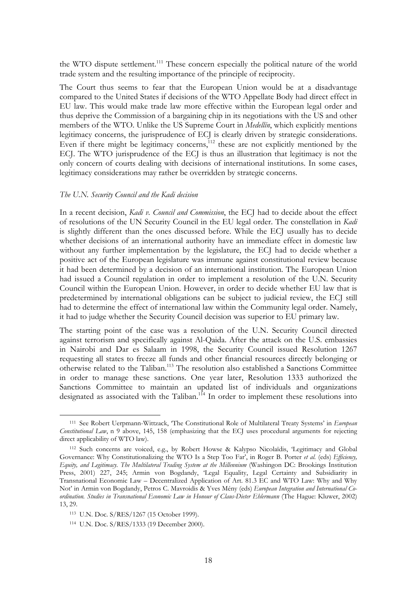the WTO dispute settlement.<sup>111</sup> These concern especially the political nature of the world trade system and the resulting importance of the principle of reciprocity.

The Court thus seems to fear that the European Union would be at a disadvantage compared to the United States if decisions of the WTO Appellate Body had direct effect in EU law. This would make trade law more effective within the European legal order and thus deprive the Commission of a bargaining chip in its negotiations with the US and other members of the WTO. Unlike the US Supreme Court in *Medellín*, which explicitly mentions legitimacy concerns, the jurisprudence of ECJ is clearly driven by strategic considerations. Even if there might be legitimacy concerns,<sup>112</sup> these are not explicitly mentioned by the ECJ. The WTO jurisprudence of the ECJ is thus an illustration that legitimacy is not the only concern of courts dealing with decisions of international institutions. In some cases, legitimacy considerations may rather be overridden by strategic concerns.

#### *The U.N. Security Council and the Kadi decision*

In a recent decision, *Kadi v. Council and Commission*, the ECJ had to decide about the effect of resolutions of the UN Security Council in the EU legal order. The constellation in *Kadi* is slightly different than the ones discussed before. While the ECJ usually has to decide whether decisions of an international authority have an immediate effect in domestic law without any further implementation by the legislature, the ECJ had to decide whether a positive act of the European legislature was immune against constitutional review because it had been determined by a decision of an international institution. The European Union had issued a Council regulation in order to implement a resolution of the U.N. Security Council within the European Union. However, in order to decide whether EU law that is predetermined by international obligations can be subject to judicial review, the ECJ still had to determine the effect of international law within the Community legal order. Namely, it had to judge whether the Security Council decision was superior to EU primary law.

The starting point of the case was a resolution of the U.N. Security Council directed against terrorism and specifically against Al-Qaida. After the attack on the U.S. embassies in Nairobi and Dar es Salaam in 1998, the Security Council issued Resolution 1267 requesting all states to freeze all funds and other financial resources directly belonging or otherwise related to the Taliban.113 The resolution also established a Sanctions Committee in order to manage these sanctions. One year later, Resolution 1333 authorized the Sanctions Committee to maintain an updated list of individuals and organizations designated as associated with the Taliban.<sup>114</sup> In order to implement these resolutions into

 <sup>111</sup> See Robert Uerpmann-Wittzack, 'The Constitutional Role of Multilateral Treaty Systems' in *European Constitutional Law*, n 9 above, 145, 158 (emphasizing that the ECJ uses procedural arguments for rejecting direct applicability of WTO law).

<sup>112</sup> Such concerns are voiced, e.g., by Robert Howse & Kalypso Nicolaïdis, 'Legitimacy and Global Governance: Why Constitutionalizing the WTO Is a Step Too Far', in Roger B. Porter *et al.* (eds) *Efficiency, Equity, and Legitimacy. The Multilateral Trading System at the Millennium* (Washingon DC: Brookings Institution Press, 2001) 227, 245; Armin von Bogdandy, 'Legal Equality, Legal Certainty and Subsidiarity in Transnational Economic Law – Decentralized Application of Art. 81.3 EC and WTO Law: Why and Why Not' in Armin von Bogdandy, Petros C. Mavroidis & Yves Mény (eds) *European Integration and International Coordination. Studies in Transnational Economic Law in Honour of Claus-Dieter Ehlermann* (The Hague: Kluwer, 2002) 13, 29.

<sup>113</sup> U.N. Doc. S/RES/1267 (15 October 1999).

<sup>114</sup> U.N. Doc. S/RES/1333 (19 December 2000).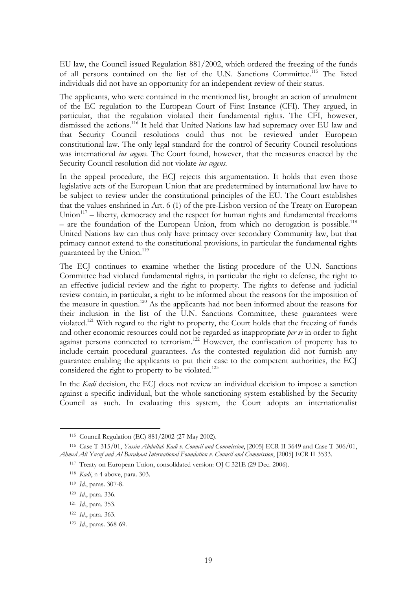EU law, the Council issued Regulation 881/2002, which ordered the freezing of the funds of all persons contained on the list of the U.N. Sanctions Committee.115 The listed individuals did not have an opportunity for an independent review of their status.

The applicants, who were contained in the mentioned list, brought an action of annulment of the EC regulation to the European Court of First Instance (CFI). They argued, in particular, that the regulation violated their fundamental rights. The CFI, however, dismissed the actions.<sup>116</sup> It held that United Nations law had supremacy over EU law and that Security Council resolutions could thus not be reviewed under European constitutional law. The only legal standard for the control of Security Council resolutions was international *ius cogens*. The Court found, however, that the measures enacted by the Security Council resolution did not violate *ius cogens*.

In the appeal procedure, the ECJ rejects this argumentation. It holds that even those legislative acts of the European Union that are predetermined by international law have to be subject to review under the constitutional principles of the EU. The Court establishes that the values enshrined in Art. 6 (1) of the pre-Lisbon version of the Treaty on European Union $117$  – liberty, democracy and the respect for human rights and fundamental freedoms  $-$  are the foundation of the European Union, from which no derogation is possible.<sup>118</sup> United Nations law can thus only have primacy over secondary Community law, but that primacy cannot extend to the constitutional provisions, in particular the fundamental rights guaranteed by the Union.<sup>119</sup>

The ECJ continues to examine whether the listing procedure of the U.N. Sanctions Committee had violated fundamental rights, in particular the right to defense, the right to an effective judicial review and the right to property. The rights to defense and judicial review contain, in particular, a right to be informed about the reasons for the imposition of the measure in question.120 As the applicants had not been informed about the reasons for their inclusion in the list of the U.N. Sanctions Committee, these guarantees were violated.121 With regard to the right to property, the Court holds that the freezing of funds and other economic resources could not be regarded as inappropriate *per se* in order to fight against persons connected to terrorism.<sup>122</sup> However, the confiscation of property has to include certain procedural guarantees. As the contested regulation did not furnish any guarantee enabling the applicants to put their case to the competent authorities, the ECJ considered the right to property to be violated.<sup>123</sup>

In the *Kadi* decision, the ECJ does not review an individual decision to impose a sanction against a specific individual, but the whole sanctioning system established by the Security Council as such. In evaluating this system, the Court adopts an internationalist

 <sup>115</sup> Council Regulation (EC) 881/2002 (27 May 2002).

<sup>116</sup> Case T-315/01, *Yassin Abdullah Kadi v. Council and Commission*, [2005] ECR II-3649 and Case T-306/01, *Ahmed Ali Yusuf and Al Barakaat International Foundation v. Council and Commission*, [2005] ECR II-3533.

<sup>&</sup>lt;sup>117</sup> Treaty on European Union, consolidated version: OJ C 321E (29 Dec. 2006).

<sup>118</sup> *Kadi*, n 4 above, para. 303.

<sup>119</sup> *Id*., paras. 307-8.

<sup>120</sup> *Id*., para. 336.

<sup>121</sup> *Id*., para. 353.

<sup>122</sup> *Id*., para. 363.

<sup>123</sup> *Id*., paras. 368-69.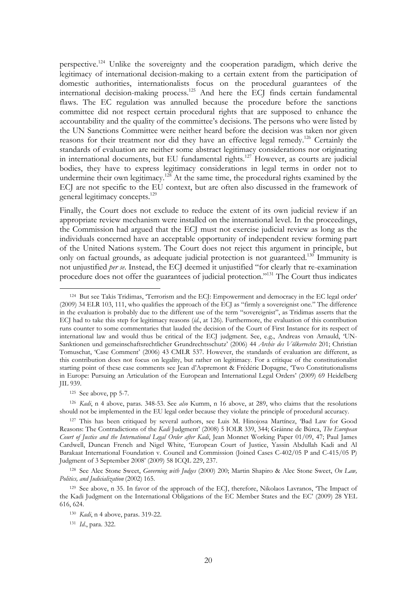perspective.124 Unlike the sovereignty and the cooperation paradigm, which derive the legitimacy of international decision-making to a certain extent from the participation of domestic authorities, internationalists focus on the procedural guarantees of the international decision-making process.125 And here the ECJ finds certain fundamental flaws. The EC regulation was annulled because the procedure before the sanctions committee did not respect certain procedural rights that are supposed to enhance the accountability and the quality of the committee's decisions. The persons who were listed by the UN Sanctions Committee were neither heard before the decision was taken nor given reasons for their treatment nor did they have an effective legal remedy.<sup>126</sup> Certainly the standards of evaluation are neither some abstract legitimacy considerations nor originating in international documents, but EU fundamental rights.127 However, as courts are judicial bodies, they have to express legitimacy considerations in legal terms in order not to undermine their own legitimacy.<sup>128</sup> At the same time, the procedural rights examined by the ECJ are not specific to the EU context, but are often also discussed in the framework of general legitimacy concepts.<sup>129</sup>

Finally, the Court does not exclude to reduce the extent of its own judicial review if an appropriate review mechanism were installed on the international level. In the proceedings, the Commission had argued that the ECJ must not exercise judicial review as long as the individuals concerned have an acceptable opportunity of independent review forming part of the United Nations system. The Court does not reject this argument in principle, but only on factual grounds, as adequate judicial protection is not guaranteed.<sup>130</sup> Immunity is not unjustified *per se*. Instead, the ECJ deemed it unjustified "for clearly that re-examination procedure does not offer the guarantees of judicial protection."131 The Court thus indicates

125 See above, pp 5-7.

126 *Kadi*, n 4 above, paras. 348-53. See *also* Kumm, n 16 above, at 289, who claims that the resolutions should not be implemented in the EU legal order because they violate the principle of procedural accuracy.

 <sup>124</sup> But see Takis Tridimas, 'Terrorism and the ECJ: Empowerment and democracy in the EC legal order' (2009) 34 ELR 103, 111, who qualifies the approach of the ECJ as "firmly a sovereignist one." The difference in the evaluation is probably due to the different use of the term "sovereignist", as Tridimas asserts that the ECJ had to take this step for legitimacy reasons (*id*., at 126). Furthermore, the evaluation of this contribution runs counter to some commentaries that lauded the decision of the Court of First Instance for its respect of international law and would thus be critical of the ECJ judgment. See, e.g., Andreas von Arnauld, 'UN-Sanktionen und gemeinschaftsrechtlicher Grundrechtsschutz' (2006) 44 *Archiv des Völkerrechts* 201; Christian Tomuschat, 'Case Comment' (2006) 43 CMLR 537. However, the standards of evaluation are different, as this contribution does not focus on legality, but rather on legitimacy. For a critique of the constitutionalist starting point of these case comments see Jean d'Aspremont & Frédéric Dopagne, 'Two Constitutionalisms in Europe: Pursuing an Articulation of the European and International Legal Orders' (2009) 69 Heidelberg JIL 939.

<sup>127</sup> This has been critiqued by several authors, see Luis M. Hinojosa Martínez, 'Bad Law for Good Reasons: The Contradictions of the *Kadi* Judgment' (2008) 5 IOLR 339, 344; Gráinne de Búrca, *The European Court of Justice and the International Legal Order after Kadi*, Jean Monnet Working Paper 01/09, 47; Paul James Cardwell, Duncan French and Nigel White, 'European Court of Justice, Yassin Abdullah Kadi and Al Barakaat International Foundation v. Council and Commission (Joined Cases C-402/05 P and C-415/05 P) Judgment of 3 September 2008' (2009) 58 ICQL 229, 237.

<sup>128</sup> See Alec Stone Sweet, *Governing with Judges* (2000) 200; Martin Shapiro & Alec Stone Sweet, *On Law, Politics, and Judicialization* (2002) 165.

<sup>129</sup> See above, n 35. In favor of the approach of the ECJ, therefore, Nikolaos Lavranos, 'The Impact of the Kadi Judgment on the International Obligations of the EC Member States and the EC' (2009) 28 YEL 616, 624.

<sup>130</sup> *Kadi*, n 4 above, paras. 319-22.

<sup>131</sup> *Id*., para. 322.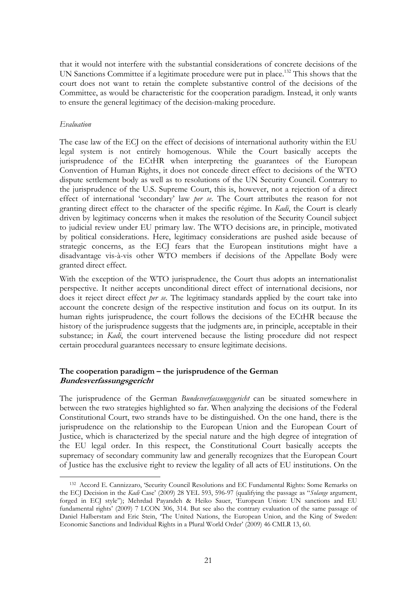that it would not interfere with the substantial considerations of concrete decisions of the UN Sanctions Committee if a legitimate procedure were put in place.<sup>132</sup> This shows that the court does not want to retain the complete substantive control of the decisions of the Committee, as would be characteristic for the cooperation paradigm. Instead, it only wants to ensure the general legitimacy of the decision-making procedure.

# *Evaluation*

The case law of the ECJ on the effect of decisions of international authority within the EU legal system is not entirely homogenous. While the Court basically accepts the jurisprudence of the ECtHR when interpreting the guarantees of the European Convention of Human Rights, it does not concede direct effect to decisions of the WTO dispute settlement body as well as to resolutions of the UN Security Council. Contrary to the jurisprudence of the U.S. Supreme Court, this is, however, not a rejection of a direct effect of international 'secondary' law *per se*. The Court attributes the reason for not granting direct effect to the character of the specific régime. In *Kadi*, the Court is clearly driven by legitimacy concerns when it makes the resolution of the Security Council subject to judicial review under EU primary law. The WTO decisions are, in principle, motivated by political considerations. Here, legitimacy considerations are pushed aside because of strategic concerns, as the ECJ fears that the European institutions might have a disadvantage vis-à-vis other WTO members if decisions of the Appellate Body were granted direct effect.

With the exception of the WTO jurisprudence, the Court thus adopts an internationalist perspective. It neither accepts unconditional direct effect of international decisions, nor does it reject direct effect *per se*. The legitimacy standards applied by the court take into account the concrete design of the respective institution and focus on its output. In its human rights jurisprudence, the court follows the decisions of the ECtHR because the history of the jurisprudence suggests that the judgments are, in principle, acceptable in their substance; in *Kadi*, the court intervened because the listing procedure did not respect certain procedural guarantees necessary to ensure legitimate decisions.

# **The cooperation paradigm – the jurisprudence of the German Bundesverfassungsgericht**

The jurisprudence of the German *Bundesverfassungsgericht* can be situated somewhere in between the two strategies highlighted so far. When analyzing the decisions of the Federal Constitutional Court, two strands have to be distinguished. On the one hand, there is the jurisprudence on the relationship to the European Union and the European Court of Justice, which is characterized by the special nature and the high degree of integration of the EU legal order. In this respect, the Constitutional Court basically accepts the supremacy of secondary community law and generally recognizes that the European Court of Justice has the exclusive right to review the legality of all acts of EU institutions. On the

 <sup>132</sup> Accord E. Cannizzaro, 'Security Council Resolutions and EC Fundamental Rights: Some Remarks on the ECJ Decision in the *Kadi* Case' (2009) 28 YEL 593, 596-97 (qualifying the passage as "*Solange* argument, forged in ECJ style"); Mehrdad Payandeh & Heiko Sauer, 'European Union: UN sanctions and EU fundamental rights' (2009) 7 I.CON 306, 314. But see also the contrary evaluation of the same passage of Daniel Halberstam and Eric Stein, 'The United Nations, the European Union, and the King of Sweden: Economic Sanctions and Individual Rights in a Plural World Order' (2009) 46 CMLR 13, 60.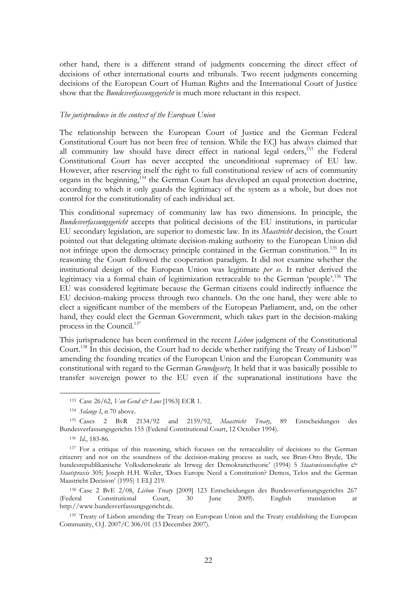other hand, there is a different strand of judgments concerning the direct effect of decisions of other international courts and tribunals. Two recent judgments concerning decisions of the European Court of Human Rights and the International Court of Justice show that the *Bundesverfassungsgericht* is much more reluctant in this respect.

#### *The jurisprudence in the context of the European Union*

The relationship between the European Court of Justice and the German Federal Constitutional Court has not been free of tension. While the ECJ has always claimed that all community law should have direct effect in national legal orders,<sup> $133$ </sup> the Federal Constitutional Court has never accepted the unconditional supremacy of EU law. However, after reserving itself the right to full constitutional review of acts of community organs in the beginning,134 the German Court has developed an equal protection doctrine, according to which it only guards the legitimacy of the system as a whole, but does not control for the constitutionality of each individual act.

This conditional supremacy of community law has two dimensions. In principle, the *Bundesverfassungsgericht* accepts that political decisions of the EU institutions, in particular EU secondary legislation, are superior to domestic law. In its *Maastricht* decision, the Court pointed out that delegating ultimate decision-making authority to the European Union did not infringe upon the democracy principle contained in the German constitution.<sup>135</sup> In its reasoning the Court followed the cooperation paradigm. It did not examine whether the institutional design of the European Union was legitimate *per se*. It rather derived the legitimacy via a formal chain of legitimization retraceable to the German 'people'.<sup>136</sup> The EU was considered legitimate because the German citizens could indirectly influence the EU decision-making process through two channels. On the one hand, they were able to elect a significant number of the members of the European Parliament, and, on the other hand, they could elect the German Government, which takes part in the decision-making process in the Council.137

This jurisprudence has been confirmed in the recent *Lisbon* judgment of the Constitutional Court.<sup>138</sup> In this decision, the Court had to decide whether ratifying the Treaty of Lisbon<sup>139</sup> amending the founding treaties of the European Union and the European Community was constitutional with regard to the German *Grundgesetz*. It held that it was basically possible to transfer sovereign power to the EU even if the supranational institutions have the

 <sup>133</sup> Case 26/62, *Van Gend & Loos* [1963] ECR 1.

<sup>134</sup> *Solange I*, n 70 above.

<sup>135</sup> Cases 2 BvR 2134/92 and 2159/92, *Maastricht Treaty*, 89 Entscheidungen des Bundesverfassungsgerichts 155 (Federal Constitutional Court, 12 October 1994).

<sup>136</sup> *Id*., 183-86.

<sup>&</sup>lt;sup>137</sup> For a critique of this reasoning, which focuses on the retraceability of decisions to the German citizenry and not on the soundness of the decision-making process as such, see Brun-Otto Bryde, 'Die bundesrepublikanische Volksdemokratie als Irrweg der Demokratietheorie' (1994) 5 *Staatswissenschaften & Staatspraxis* 305; Joseph H.H. Weiler, 'Does Europe Need a Constitution? Demos, Telos and the German Maastricht Decision' (1995) 1 ELJ 219.

<sup>138</sup> Case 2 BvE 2/08, *Lisbon Treaty* [2009] 123 Entscheidungen des Bundesverfassungsgerichts 267 (Federal Constitutional Court, 30 June 2009). English translation at http://www.bundesverfassungsgericht.de.

<sup>&</sup>lt;sup>139</sup> Treaty of Lisbon amending the Treaty on European Union and the Treaty establishing the European Community, O.J. 2007/C 306/01 (13 December 2007).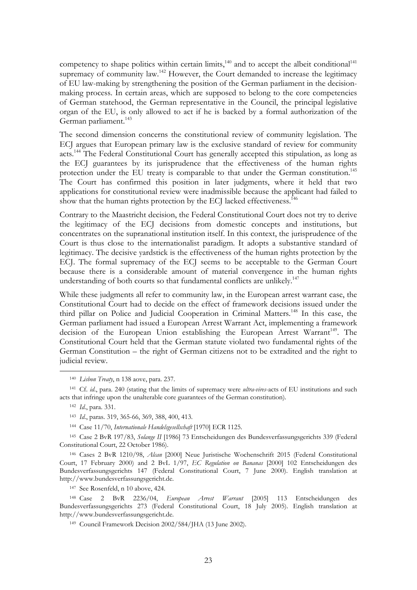competency to shape politics within certain limits, $140$  and to accept the albeit conditional<sup>141</sup> supremacy of community  $law<sup>142</sup>$  However, the Court demanded to increase the legitimacy of EU law-making by strengthening the position of the German parliament in the decisionmaking process. In certain areas, which are supposed to belong to the core competencies of German statehood, the German representative in the Council, the principal legislative organ of the EU, is only allowed to act if he is backed by a formal authorization of the German parliament.<sup>143</sup>

The second dimension concerns the constitutional review of community legislation. The ECJ argues that European primary law is the exclusive standard of review for community acts.<sup>144</sup> The Federal Constitutional Court has generally accepted this stipulation, as long as the ECJ guarantees by its jurisprudence that the effectiveness of the human rights protection under the EU treaty is comparable to that under the German constitution.<sup>145</sup> The Court has confirmed this position in later judgments, where it held that two applications for constitutional review were inadmissible because the applicant had failed to show that the human rights protection by the ECJ lacked effectiveness.<sup>146</sup>

Contrary to the Maastricht decision, the Federal Constitutional Court does not try to derive the legitimacy of the ECJ decisions from domestic concepts and institutions, but concentrates on the supranational institution itself. In this context, the jurisprudence of the Court is thus close to the internationalist paradigm. It adopts a substantive standard of legitimacy. The decisive yardstick is the effectiveness of the human rights protection by the ECJ. The formal supremacy of the ECJ seems to be acceptable to the German Court because there is a considerable amount of material convergence in the human rights understanding of both courts so that fundamental conflicts are unlikely.<sup>147</sup>

While these judgments all refer to community law, in the European arrest warrant case, the Constitutional Court had to decide on the effect of framework decisions issued under the third pillar on Police and Judicial Cooperation in Criminal Matters.<sup>148</sup> In this case, the German parliament had issued a European Arrest Warrant Act, implementing a framework decision of the European Union establishing the European Arrest Warrant<sup>149</sup>. The Constitutional Court held that the German statute violated two fundamental rights of the German Constitution – the right of German citizens not to be extradited and the right to judicial review.

147 See Rosenfeld, n 10 above, 424.

148 Case 2 BvR 2236/04, *European Arrest Warrant* [2005] 113 Entscheidungen des Bundesverfassungsgerichts 273 (Federal Constitutional Court, 18 July 2005). English translation at http://www.bundesverfassungsgericht.de.

 <sup>140</sup> *Lisbon Treaty*, n 138 aove, para. 237.

<sup>141</sup> Cf. *id*., para. 240 (stating that the limits of supremacy were *ultra-vires*-acts of EU institutions and such acts that infringe upon the unalterable core guarantees of the German constitution).

<sup>142</sup> *Id*., para. 331.

<sup>143</sup> *Id*., paras. 319, 365-66, 369, 388, 400, 413.

<sup>144</sup> Case 11/70, *Internationale Handelsgesellschaft* [1970] ECR 1125.

<sup>145</sup> Case 2 BvR 197/83, *Solange II* [1986] 73 Entscheidungen des Bundesverfassungsgerichts 339 (Federal Constitutional Court, 22 October 1986).

<sup>146</sup> Cases 2 BvR 1210/98, *Alcan* [2000] Neue Juristische Wochenschrift 2015 (Federal Constitutional Court, 17 February 2000) and 2 BvL 1/97, *EC Regulation on Bananas* [2000] 102 Entscheidungen des Bundesverfassungsgerichts 147 (Federal Constitutional Court, 7 June 2000). English translation at http://www.bundesverfassungsgericht.de.

<sup>149</sup> Council Framework Decision 2002/584/JHA (13 June 2002).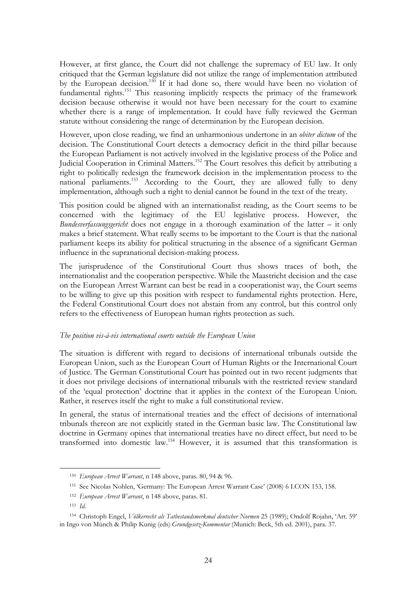However, at first glance, the Court did not challenge the supremacy of EU law. It only critiqued that the German legislature did not utilize the range of implementation attributed by the European decision.<sup>150</sup> If it had done so, there would have been no violation of fundamental rights.<sup>151</sup> This reasoning implicitly respects the primacy of the framework decision because otherwise it would not have been necessary for the court to examine whether there is a range of implementation. It could have fully reviewed the German statute without considering the range of determination by the European decision.

However, upon close reading, we find an unharmonious undertone in an *obiter dictum* of the decision. The Constitutional Court detects a democracy deficit in the third pillar because the European Parliament is not actively involved in the legislative process of the Police and Judicial Cooperation in Criminal Matters.152 The Court resolves this deficit by attributing a right to politically redesign the framework decision in the implementation process to the national parliaments.<sup>153</sup> According to the Court, they are allowed fully to deny implementation, although such a right to denial cannot be found in the text of the treaty.

This position could be aligned with an internationalist reading, as the Court seems to be concerned with the legitimacy of the EU legislative process. However, the *Bundesverfassungsgericht* does not engage in a thorough examination of the latter – it only makes a brief statement. What really seems to be important to the Court is that the national parliament keeps its ability for political structuring in the absence of a significant German influence in the supranational decision-making process.

The jurisprudence of the Constitutional Court thus shows traces of both, the internationalist and the cooperation perspective. While the Maastricht decision and the case on the European Arrest Warrant can best be read in a cooperationist way, the Court seems to be willing to give up this position with respect to fundamental rights protection. Here, the Federal Constitutional Court does not abstain from any control, but this control only refers to the effectiveness of European human rights protection as such.

# *The position vis-à-vis international courts outside the European Union*

The situation is different with regard to decisions of international tribunals outside the European Union, such as the European Court of Human Rights or the International Court of Justice. The German Constitutional Court has pointed out in two recent judgments that it does not privilege decisions of international tribunals with the restricted review standard of the 'equal protection' doctrine that it applies in the context of the European Union. Rather, it reserves itself the right to make a full constitutional review.

In general, the status of international treaties and the effect of decisions of international tribunals thereon are not explicitly stated in the German basic law. The Constitutional law doctrine in Germany opines that international treaties have no direct effect, but need to be transformed into domestic law.154 However, it is assumed that this transformation is

 <sup>150</sup> *European Arrest Warrant*, n 148 above, paras. 80, 94 & 96.

<sup>151</sup> See Nicolas Nohlen, 'Germany: The European Arrest Warrant Case' (2008) 6 I.CON 153, 158.

<sup>152</sup> *European Arrest Warrant*, n 148 above, paras. 81.

<sup>153</sup> *Id*.

<sup>154</sup> Christoph Engel, *Völkerrecht als Tatbestandsmerkmal deutscher Normen* 25 (1989); Ondolf Rojahn, 'Art. 59' in Ingo von Münch & Philip Kunig (eds) *Grundgesetz-Kommentar* (Munich: Beck, 5th ed. 2001), para. 37.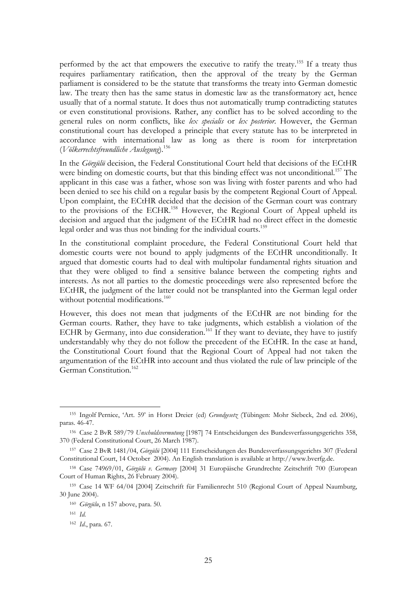performed by the act that empowers the executive to ratify the treaty.<sup>155</sup> If a treaty thus requires parliamentary ratification, then the approval of the treaty by the German parliament is considered to be the statute that transforms the treaty into German domestic law. The treaty then has the same status in domestic law as the transformatory act, hence usually that of a normal statute. It does thus not automatically trump contradicting statutes or even constitutional provisions. Rather, any conflict has to be solved according to the general rules on norm conflicts, like *lex specialis* or *lex posterior*. However, the German constitutional court has developed a principle that every statute has to be interpreted in accordance with international law as long as there is room for interpretation (*Völkerrechtsfreundliche Auslegung*).156

In the *Görgülü* decision, the Federal Constitutional Court held that decisions of the ECtHR were binding on domestic courts, but that this binding effect was not unconditional.<sup>157</sup> The applicant in this case was a father, whose son was living with foster parents and who had been denied to see his child on a regular basis by the competent Regional Court of Appeal. Upon complaint, the ECtHR decided that the decision of the German court was contrary to the provisions of the ECHR.<sup>158</sup> However, the Regional Court of Appeal upheld its decision and argued that the judgment of the ECtHR had no direct effect in the domestic legal order and was thus not binding for the individual courts.<sup>159</sup>

In the constitutional complaint procedure, the Federal Constitutional Court held that domestic courts were not bound to apply judgments of the ECtHR unconditionally. It argued that domestic courts had to deal with multipolar fundamental rights situation and that they were obliged to find a sensitive balance between the competing rights and interests. As not all parties to the domestic proceedings were also represented before the ECtHR, the judgment of the latter could not be transplanted into the German legal order without potential modifications.<sup>160</sup>

However, this does not mean that judgments of the ECtHR are not binding for the German courts. Rather, they have to take judgments, which establish a violation of the ECHR by Germany, into due consideration.<sup>161</sup> If they want to deviate, they have to justify understandably why they do not follow the precedent of the ECtHR. In the case at hand, the Constitutional Court found that the Regional Court of Appeal had not taken the argumentation of the ECtHR into account and thus violated the rule of law principle of the German Constitution.<sup>162</sup>

 <sup>155</sup> Ingolf Pernice, 'Art. 59' in Horst Dreier (ed) *Grundgesetz* (Tübingen: Mohr Siebeck, 2nd ed. 2006), paras. 46-47.

<sup>156</sup> Case 2 BvR 589/79 *Unschuldsvermutung* [1987] 74 Entscheidungen des Bundesverfassungsgerichts 358, 370 (Federal Constitutional Court, 26 March 1987).

<sup>157</sup> Case 2 BvR 1481/04, *Görgülü* [2004] 111 Entscheidungen des Bundesverfassungsgerichts 307 (Federal Constitutional Court, 14 October 2004). An English translation is available at http://www.bverfg.de.

<sup>158</sup> Case 74969/01, *Görgülü v. Germany* [2004] 31 Europäische Grundrechte Zeitschrift 700 (European Court of Human Rights, 26 February 2004).

<sup>159</sup> Case 14 WF 64/04 [2004] Zeitschrift für Familienrecht 510 (Regional Court of Appeal Naumburg, 30 June 2004).

<sup>160</sup> *Görgülu*, n 157 above, para. 50.

<sup>161</sup> *Id.*

<sup>162</sup> *Id*., para. 67.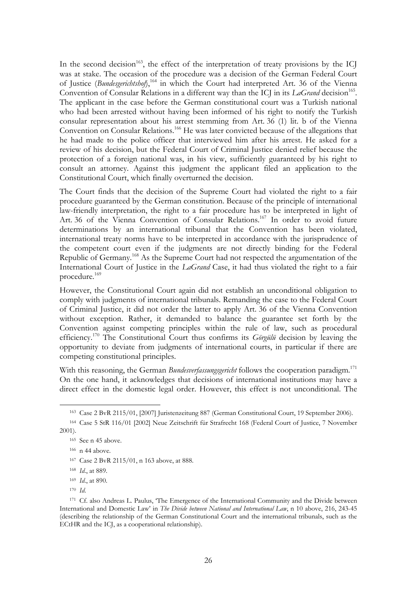In the second decision<sup>163</sup>, the effect of the interpretation of treaty provisions by the ICJ was at stake. The occasion of the procedure was a decision of the German Federal Court of Justice (*Bundesgerichtshof*),<sup>164</sup> in which the Court had interpreted Art. 36 of the Vienna Convention of Consular Relations in a different way than the ICJ in its *LaGrand* decision<sup>165</sup>. The applicant in the case before the German constitutional court was a Turkish national who had been arrested without having been informed of his right to notify the Turkish consular representation about his arrest stemming from Art. 36 (1) lit. b of the Vienna Convention on Consular Relations.<sup>166</sup> He was later convicted because of the allegations that he had made to the police officer that interviewed him after his arrest. He asked for a review of his decision, but the Federal Court of Criminal Justice denied relief because the protection of a foreign national was, in his view, sufficiently guaranteed by his right to consult an attorney. Against this judgment the applicant filed an application to the Constitutional Court, which finally overturned the decision.

The Court finds that the decision of the Supreme Court had violated the right to a fair procedure guaranteed by the German constitution. Because of the principle of international law-friendly interpretation, the right to a fair procedure has to be interpreted in light of Art. 36 of the Vienna Convention of Consular Relations.<sup>167</sup> In order to avoid future determinations by an international tribunal that the Convention has been violated, international treaty norms have to be interpreted in accordance with the jurisprudence of the competent court even if the judgments are not directly binding for the Federal Republic of Germany.<sup>168</sup> As the Supreme Court had not respected the argumentation of the International Court of Justice in the *LaGrand* Case, it had thus violated the right to a fair procedure.169

However, the Constitutional Court again did not establish an unconditional obligation to comply with judgments of international tribunals. Remanding the case to the Federal Court of Criminal Justice, it did not order the latter to apply Art. 36 of the Vienna Convention without exception. Rather, it demanded to balance the guarantee set forth by the Convention against competing principles within the rule of law, such as procedural efficiency.170 The Constitutional Court thus confirms its *Görgülü* decision by leaving the opportunity to deviate from judgments of international courts, in particular if there are competing constitutional principles.

With this reasoning, the German *Bundesverfassungsgericht* follows the cooperation paradigm.<sup>171</sup> On the one hand, it acknowledges that decisions of international institutions may have a direct effect in the domestic legal order. However, this effect is not unconditional. The

 <sup>163</sup> Case 2 BvR 2115/01, [2007] Juristenzeitung 887 (German Constitutional Court, 19 September 2006).

<sup>164</sup> Case 5 StR 116/01 [2002] Neue Zeitschrift für Strafrecht 168 (Federal Court of Justice, 7 November 2001).

<sup>165</sup> See n 45 above.

<sup>166</sup> n 44 above.

<sup>167</sup> Case 2 BvR 2115/01, n 163 above, at 888.

<sup>168</sup> *Id*., at 889.

<sup>169</sup> *Id*., at 890.

<sup>170</sup> *Id*.

<sup>&</sup>lt;sup>171</sup> Cf. also Andreas L. Paulus, 'The Emergence of the International Community and the Divide between International and Domestic Law' in *The Divide between National and International Law*, n 10 above, 216, 243-45 (describing the relationship of the German Constitutional Court and the international tribunals, such as the ECtHR and the ICJ, as a cooperational relationship).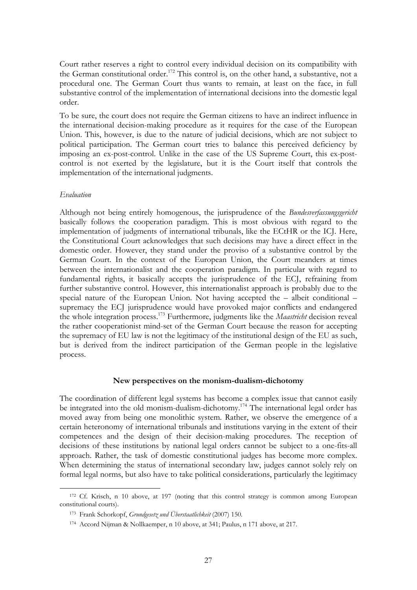Court rather reserves a right to control every individual decision on its compatibility with the German constitutional order.<sup>172</sup> This control is, on the other hand, a substantive, not a procedural one. The German Court thus wants to remain, at least on the face, in full substantive control of the implementation of international decisions into the domestic legal order.

To be sure, the court does not require the German citizens to have an indirect influence in the international decision-making procedure as it requires for the case of the European Union. This, however, is due to the nature of judicial decisions, which are not subject to political participation. The German court tries to balance this perceived deficiency by imposing an ex-post-control. Unlike in the case of the US Supreme Court, this ex-postcontrol is not exerted by the legislature, but it is the Court itself that controls the implementation of the international judgments.

#### *Evaluation*

Although not being entirely homogenous, the jurisprudence of the *Bundesverfassungsgericht* basically follows the cooperation paradigm. This is most obvious with regard to the implementation of judgments of international tribunals, like the ECtHR or the ICJ. Here, the Constitutional Court acknowledges that such decisions may have a direct effect in the domestic order. However, they stand under the proviso of a substantive control by the German Court. In the context of the European Union, the Court meanders at times between the internationalist and the cooperation paradigm. In particular with regard to fundamental rights, it basically accepts the jurisprudence of the ECJ, refraining from further substantive control. However, this internationalist approach is probably due to the special nature of the European Union. Not having accepted the – albeit conditional – supremacy the ECJ jurisprudence would have provoked major conflicts and endangered the whole integration process.173 Furthermore, judgments like the *Maastricht* decision reveal the rather cooperationist mind-set of the German Court because the reason for accepting the supremacy of EU law is not the legitimacy of the institutional design of the EU as such, but is derived from the indirect participation of the German people in the legislative process.

#### **New perspectives on the monism-dualism-dichotomy**

The coordination of different legal systems has become a complex issue that cannot easily be integrated into the old monism-dualism-dichotomy.<sup>174</sup> The international legal order has moved away from being one monolithic system. Rather, we observe the emergence of a certain heteronomy of international tribunals and institutions varying in the extent of their competences and the design of their decision-making procedures. The reception of decisions of these institutions by national legal orders cannot be subject to a one-fits-all approach. Rather, the task of domestic constitutional judges has become more complex. When determining the status of international secondary law, judges cannot solely rely on formal legal norms, but also have to take political considerations, particularly the legitimacy

<sup>172</sup> Cf. Krisch, n 10 above, at 197 (noting that this control strategy is common among European constitutional courts).

<sup>173</sup> Frank Schorkopf, *Grundgesetz und Überstaatlichkeit* (2007) 150.

<sup>174</sup> Accord Nijman & Nollkaemper, n 10 above, at 341; Paulus, n 171 above, at 217.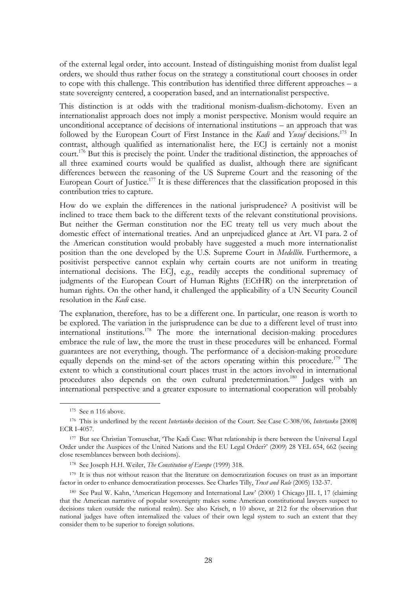of the external legal order, into account. Instead of distinguishing monist from dualist legal orders, we should thus rather focus on the strategy a constitutional court chooses in order to cope with this challenge. This contribution has identified three different approaches – a state sovereignty centered, a cooperation based, and an internationalist perspective.

This distinction is at odds with the traditional monism-dualism-dichotomy. Even an internationalist approach does not imply a monist perspective. Monism would require an unconditional acceptance of decisions of international institutions – an approach that was followed by the European Court of First Instance in the *Kadi* and *Yusuf* decisions.<sup>175</sup> In contrast, although qualified as internationalist here, the ECJ is certainly not a monist court.<sup>176</sup> But this is precisely the point. Under the traditional distinction, the approaches of all three examined courts would be qualified as dualist, although there are significant differences between the reasoning of the US Supreme Court and the reasoning of the European Court of Justice.<sup>177</sup> It is these differences that the classification proposed in this contribution tries to capture.

How do we explain the differences in the national jurisprudence? A positivist will be inclined to trace them back to the different texts of the relevant constitutional provisions. But neither the German constitution nor the EC treaty tell us very much about the domestic effect of international treaties. And an unprejudiced glance at Art. VI para. 2 of the American constitution would probably have suggested a much more internationalist position than the one developed by the U.S. Supreme Court in *Medellín*. Furthermore, a positivist perspective cannot explain why certain courts are not uniform in treating international decisions. The ECJ, e.g., readily accepts the conditional supremacy of judgments of the European Court of Human Rights (ECtHR) on the interpretation of human rights. On the other hand, it challenged the applicability of a UN Security Council resolution in the *Kadi* case.

The explanation, therefore, has to be a different one. In particular, one reason is worth to be explored. The variation in the jurisprudence can be due to a different level of trust into international institutions.178 The more the international decision-making procedures embrace the rule of law, the more the trust in these procedures will be enhanced. Formal guarantees are not everything, though. The performance of a decision-making procedure equally depends on the mind-set of the actors operating within this procedure.<sup>179</sup> The extent to which a constitutional court places trust in the actors involved in international procedures also depends on the own cultural predetermination.<sup>180</sup> Judges with an international perspective and a greater exposure to international cooperation will probably

 <sup>175</sup> See n 116 above.

<sup>176</sup> This is underlined by the recent *Intertanko* decision of the Court. See Case C-308/06, *Intertanko* [2008] ECR I-4057.

<sup>177</sup> But see Christian Tomuschat, 'The Kadi Case: What relationship is there between the Universal Legal Order under the Auspices of the United Nations and the EU Legal Order?' (2009) 28 YEL 654, 662 (seeing close resemblances between both decisions).

<sup>178</sup> See Joseph H.H. Weiler, *The Constitution of Europe* (1999) 318.

<sup>&</sup>lt;sup>179</sup> It is thus not without reason that the literature on democratization focuses on trust as an important factor in order to enhance democratization processes. See Charles Tilly, *Trust and Rule* (2005) 132-37.

<sup>180</sup> See Paul W. Kahn, 'American Hegemony and International Law' (2000) 1 Chicago JIL 1, 17 (claiming that the American narrative of popular sovereignty makes some American constitutional lawyers suspect to decisions taken outside the national realm). See also Krisch, n 10 above, at 212 for the observation that national judges have often internalized the values of their own legal system to such an extent that they consider them to be superior to foreign solutions.